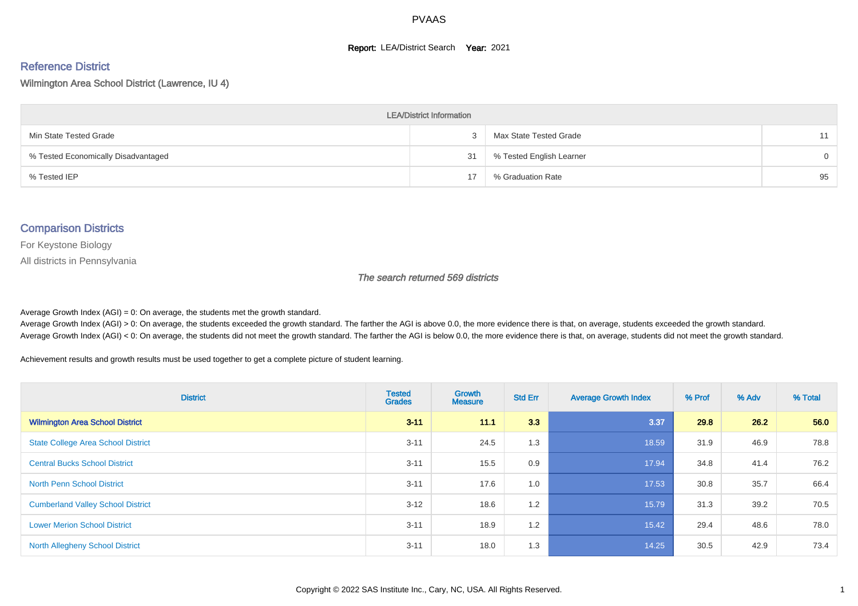#### **Report: LEA/District Search Year: 2021**

# Reference District

Wilmington Area School District (Lawrence, IU 4)

| <b>LEA/District Information</b>     |    |                          |          |  |  |  |  |  |  |  |
|-------------------------------------|----|--------------------------|----------|--|--|--|--|--|--|--|
| Min State Tested Grade              |    | Max State Tested Grade   | 11       |  |  |  |  |  |  |  |
| % Tested Economically Disadvantaged | 31 | % Tested English Learner | $\Omega$ |  |  |  |  |  |  |  |
| % Tested IEP                        | 17 | % Graduation Rate        | 95       |  |  |  |  |  |  |  |

#### Comparison Districts

For Keystone Biology

All districts in Pennsylvania

The search returned 569 districts

Average Growth Index  $(AGI) = 0$ : On average, the students met the growth standard.

Average Growth Index (AGI) > 0: On average, the students exceeded the growth standard. The farther the AGI is above 0.0, the more evidence there is that, on average, students exceeded the growth standard. Average Growth Index (AGI) < 0: On average, the students did not meet the growth standard. The farther the AGI is below 0.0, the more evidence there is that, on average, students did not meet the growth standard.

Achievement results and growth results must be used together to get a complete picture of student learning.

| <b>District</b>                           | <b>Tested</b><br><b>Grades</b> | <b>Growth</b><br><b>Measure</b> | <b>Std Err</b> | <b>Average Growth Index</b> | % Prof | % Adv | % Total |
|-------------------------------------------|--------------------------------|---------------------------------|----------------|-----------------------------|--------|-------|---------|
| <b>Wilmington Area School District</b>    | $3 - 11$                       | 11.1                            | 3.3            | 3.37                        | 29.8   | 26.2  | 56.0    |
| <b>State College Area School District</b> | $3 - 11$                       | 24.5                            | 1.3            | 18.59                       | 31.9   | 46.9  | 78.8    |
| <b>Central Bucks School District</b>      | $3 - 11$                       | 15.5                            | 0.9            | 17.94                       | 34.8   | 41.4  | 76.2    |
| <b>North Penn School District</b>         | $3 - 11$                       | 17.6                            | 1.0            | 17.53                       | 30.8   | 35.7  | 66.4    |
| <b>Cumberland Valley School District</b>  | $3 - 12$                       | 18.6                            | 1.2            | 15.79                       | 31.3   | 39.2  | 70.5    |
| <b>Lower Merion School District</b>       | $3 - 11$                       | 18.9                            | 1.2            | 15.42                       | 29.4   | 48.6  | 78.0    |
| <b>North Allegheny School District</b>    | $3 - 11$                       | 18.0                            | 1.3            | 14.25                       | 30.5   | 42.9  | 73.4    |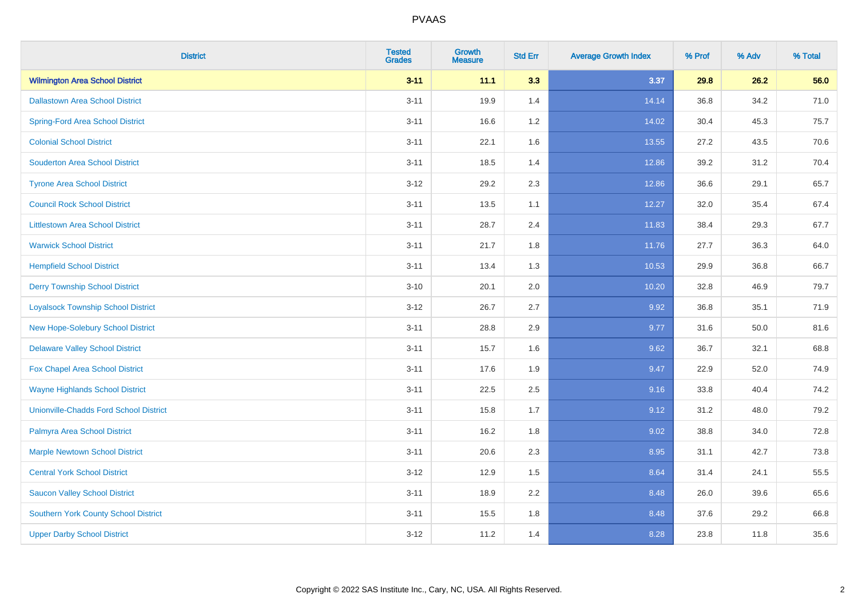| <b>District</b>                               | <b>Tested</b><br><b>Grades</b> | <b>Growth</b><br><b>Measure</b> | <b>Std Err</b> | <b>Average Growth Index</b> | % Prof | % Adv | % Total |
|-----------------------------------------------|--------------------------------|---------------------------------|----------------|-----------------------------|--------|-------|---------|
| <b>Wilmington Area School District</b>        | $3 - 11$                       | 11.1                            | 3.3            | 3.37                        | 29.8   | 26.2  | 56.0    |
| <b>Dallastown Area School District</b>        | $3 - 11$                       | 19.9                            | 1.4            | 14.14                       | 36.8   | 34.2  | 71.0    |
| <b>Spring-Ford Area School District</b>       | $3 - 11$                       | 16.6                            | 1.2            | 14.02                       | 30.4   | 45.3  | 75.7    |
| <b>Colonial School District</b>               | $3 - 11$                       | 22.1                            | 1.6            | 13.55                       | 27.2   | 43.5  | 70.6    |
| <b>Souderton Area School District</b>         | $3 - 11$                       | 18.5                            | 1.4            | 12.86                       | 39.2   | 31.2  | 70.4    |
| <b>Tyrone Area School District</b>            | $3 - 12$                       | 29.2                            | 2.3            | 12.86                       | 36.6   | 29.1  | 65.7    |
| <b>Council Rock School District</b>           | $3 - 11$                       | 13.5                            | 1.1            | 12.27                       | 32.0   | 35.4  | 67.4    |
| <b>Littlestown Area School District</b>       | $3 - 11$                       | 28.7                            | 2.4            | 11.83                       | 38.4   | 29.3  | 67.7    |
| <b>Warwick School District</b>                | $3 - 11$                       | 21.7                            | 1.8            | 11.76                       | 27.7   | 36.3  | 64.0    |
| <b>Hempfield School District</b>              | $3 - 11$                       | 13.4                            | 1.3            | 10.53                       | 29.9   | 36.8  | 66.7    |
| <b>Derry Township School District</b>         | $3 - 10$                       | 20.1                            | 2.0            | 10.20                       | 32.8   | 46.9  | 79.7    |
| <b>Loyalsock Township School District</b>     | $3-12$                         | 26.7                            | 2.7            | 9.92                        | 36.8   | 35.1  | 71.9    |
| New Hope-Solebury School District             | $3 - 11$                       | 28.8                            | 2.9            | 9.77                        | 31.6   | 50.0  | 81.6    |
| <b>Delaware Valley School District</b>        | $3 - 11$                       | 15.7                            | 1.6            | 9.62                        | 36.7   | 32.1  | 68.8    |
| Fox Chapel Area School District               | $3 - 11$                       | 17.6                            | 1.9            | 9.47                        | 22.9   | 52.0  | 74.9    |
| <b>Wayne Highlands School District</b>        | $3 - 11$                       | 22.5                            | 2.5            | 9.16                        | 33.8   | 40.4  | 74.2    |
| <b>Unionville-Chadds Ford School District</b> | $3 - 11$                       | 15.8                            | 1.7            | 9.12                        | 31.2   | 48.0  | 79.2    |
| Palmyra Area School District                  | $3 - 11$                       | 16.2                            | 1.8            | 9.02                        | 38.8   | 34.0  | 72.8    |
| <b>Marple Newtown School District</b>         | $3 - 11$                       | 20.6                            | 2.3            | 8.95                        | 31.1   | 42.7  | 73.8    |
| <b>Central York School District</b>           | $3 - 12$                       | 12.9                            | 1.5            | 8.64                        | 31.4   | 24.1  | 55.5    |
| <b>Saucon Valley School District</b>          | $3 - 11$                       | 18.9                            | 2.2            | 8.48                        | 26.0   | 39.6  | 65.6    |
| <b>Southern York County School District</b>   | $3 - 11$                       | 15.5                            | 1.8            | 8.48                        | 37.6   | 29.2  | 66.8    |
| <b>Upper Darby School District</b>            | $3 - 12$                       | 11.2                            | 1.4            | 8.28                        | 23.8   | 11.8  | 35.6    |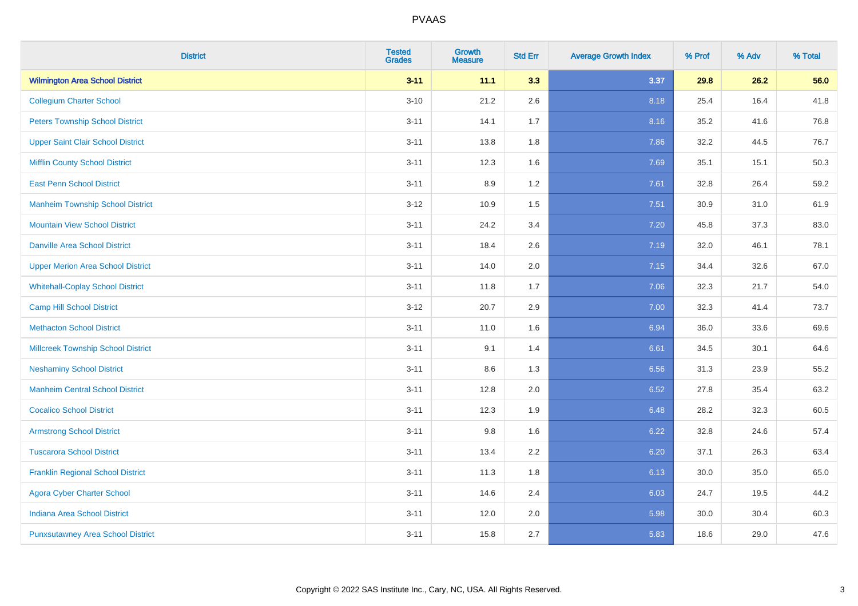| <b>District</b>                           | <b>Tested</b><br><b>Grades</b> | <b>Growth</b><br><b>Measure</b> | <b>Std Err</b> | <b>Average Growth Index</b> | % Prof | % Adv | % Total |
|-------------------------------------------|--------------------------------|---------------------------------|----------------|-----------------------------|--------|-------|---------|
| <b>Wilmington Area School District</b>    | $3 - 11$                       | 11.1                            | 3.3            | 3.37                        | 29.8   | 26.2  | 56.0    |
| <b>Collegium Charter School</b>           | $3 - 10$                       | 21.2                            | 2.6            | 8.18                        | 25.4   | 16.4  | 41.8    |
| <b>Peters Township School District</b>    | $3 - 11$                       | 14.1                            | 1.7            | 8.16                        | 35.2   | 41.6  | 76.8    |
| <b>Upper Saint Clair School District</b>  | $3 - 11$                       | 13.8                            | 1.8            | 7.86                        | 32.2   | 44.5  | 76.7    |
| <b>Mifflin County School District</b>     | $3 - 11$                       | 12.3                            | 1.6            | 7.69                        | 35.1   | 15.1  | 50.3    |
| <b>East Penn School District</b>          | $3 - 11$                       | 8.9                             | 1.2            | 7.61                        | 32.8   | 26.4  | 59.2    |
| <b>Manheim Township School District</b>   | $3 - 12$                       | 10.9                            | 1.5            | 7.51                        | 30.9   | 31.0  | 61.9    |
| <b>Mountain View School District</b>      | $3 - 11$                       | 24.2                            | 3.4            | 7.20                        | 45.8   | 37.3  | 83.0    |
| <b>Danville Area School District</b>      | $3 - 11$                       | 18.4                            | 2.6            | 7.19                        | 32.0   | 46.1  | 78.1    |
| <b>Upper Merion Area School District</b>  | $3 - 11$                       | 14.0                            | 2.0            | 7.15                        | 34.4   | 32.6  | 67.0    |
| <b>Whitehall-Coplay School District</b>   | $3 - 11$                       | 11.8                            | 1.7            | 7.06                        | 32.3   | 21.7  | 54.0    |
| <b>Camp Hill School District</b>          | $3 - 12$                       | 20.7                            | 2.9            | 7.00                        | 32.3   | 41.4  | 73.7    |
| <b>Methacton School District</b>          | $3 - 11$                       | 11.0                            | 1.6            | 6.94                        | 36.0   | 33.6  | 69.6    |
| <b>Millcreek Township School District</b> | $3 - 11$                       | 9.1                             | 1.4            | 6.61                        | 34.5   | 30.1  | 64.6    |
| <b>Neshaminy School District</b>          | $3 - 11$                       | 8.6                             | 1.3            | 6.56                        | 31.3   | 23.9  | 55.2    |
| <b>Manheim Central School District</b>    | $3 - 11$                       | 12.8                            | 2.0            | 6.52                        | 27.8   | 35.4  | 63.2    |
| <b>Cocalico School District</b>           | $3 - 11$                       | 12.3                            | 1.9            | 6.48                        | 28.2   | 32.3  | 60.5    |
| <b>Armstrong School District</b>          | $3 - 11$                       | 9.8                             | 1.6            | 6.22                        | 32.8   | 24.6  | 57.4    |
| <b>Tuscarora School District</b>          | $3 - 11$                       | 13.4                            | 2.2            | 6.20                        | 37.1   | 26.3  | 63.4    |
| <b>Franklin Regional School District</b>  | $3 - 11$                       | 11.3                            | 1.8            | 6.13                        | 30.0   | 35.0  | 65.0    |
| <b>Agora Cyber Charter School</b>         | $3 - 11$                       | 14.6                            | 2.4            | 6.03                        | 24.7   | 19.5  | 44.2    |
| <b>Indiana Area School District</b>       | $3 - 11$                       | 12.0                            | 2.0            | 5.98                        | 30.0   | 30.4  | 60.3    |
| <b>Punxsutawney Area School District</b>  | $3 - 11$                       | 15.8                            | 2.7            | 5.83                        | 18.6   | 29.0  | 47.6    |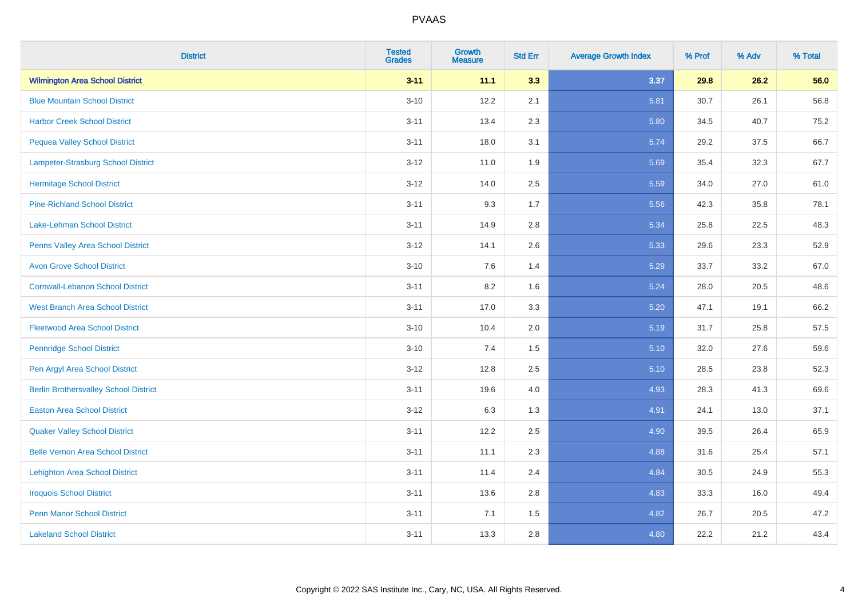| <b>District</b>                              | <b>Tested</b><br><b>Grades</b> | Growth<br><b>Measure</b> | <b>Std Err</b> | <b>Average Growth Index</b> | % Prof | % Adv | % Total |
|----------------------------------------------|--------------------------------|--------------------------|----------------|-----------------------------|--------|-------|---------|
| <b>Wilmington Area School District</b>       | $3 - 11$                       | 11.1                     | 3.3            | 3.37                        | 29.8   | 26.2  | 56.0    |
| <b>Blue Mountain School District</b>         | $3 - 10$                       | 12.2                     | 2.1            | 5.81                        | 30.7   | 26.1  | 56.8    |
| <b>Harbor Creek School District</b>          | $3 - 11$                       | 13.4                     | 2.3            | 5.80                        | 34.5   | 40.7  | 75.2    |
| <b>Pequea Valley School District</b>         | $3 - 11$                       | 18.0                     | 3.1            | 5.74                        | 29.2   | 37.5  | 66.7    |
| Lampeter-Strasburg School District           | $3 - 12$                       | 11.0                     | 1.9            | 5.69                        | 35.4   | 32.3  | 67.7    |
| <b>Hermitage School District</b>             | $3 - 12$                       | 14.0                     | 2.5            | 5.59                        | 34.0   | 27.0  | 61.0    |
| <b>Pine-Richland School District</b>         | $3 - 11$                       | 9.3                      | 1.7            | 5.56                        | 42.3   | 35.8  | 78.1    |
| Lake-Lehman School District                  | $3 - 11$                       | 14.9                     | 2.8            | 5.34                        | 25.8   | 22.5  | 48.3    |
| Penns Valley Area School District            | $3 - 12$                       | 14.1                     | 2.6            | 5.33                        | 29.6   | 23.3  | 52.9    |
| <b>Avon Grove School District</b>            | $3 - 10$                       | $7.6\,$                  | 1.4            | 5.29                        | 33.7   | 33.2  | 67.0    |
| <b>Cornwall-Lebanon School District</b>      | $3 - 11$                       | 8.2                      | 1.6            | 5.24                        | 28.0   | 20.5  | 48.6    |
| <b>West Branch Area School District</b>      | $3 - 11$                       | 17.0                     | 3.3            | 5.20                        | 47.1   | 19.1  | 66.2    |
| <b>Fleetwood Area School District</b>        | $3 - 10$                       | 10.4                     | 2.0            | 5.19                        | 31.7   | 25.8  | 57.5    |
| <b>Pennridge School District</b>             | $3 - 10$                       | 7.4                      | 1.5            | 5.10                        | 32.0   | 27.6  | 59.6    |
| Pen Argyl Area School District               | $3 - 12$                       | 12.8                     | 2.5            | 5.10                        | 28.5   | 23.8  | 52.3    |
| <b>Berlin Brothersvalley School District</b> | $3 - 11$                       | 19.6                     | 4.0            | 4.93                        | 28.3   | 41.3  | 69.6    |
| <b>Easton Area School District</b>           | $3 - 12$                       | 6.3                      | 1.3            | 4.91                        | 24.1   | 13.0  | 37.1    |
| <b>Quaker Valley School District</b>         | $3 - 11$                       | 12.2                     | 2.5            | 4.90                        | 39.5   | 26.4  | 65.9    |
| <b>Belle Vernon Area School District</b>     | $3 - 11$                       | 11.1                     | 2.3            | 4.88                        | 31.6   | 25.4  | 57.1    |
| <b>Lehighton Area School District</b>        | $3 - 11$                       | 11.4                     | 2.4            | 4.84                        | 30.5   | 24.9  | 55.3    |
| <b>Iroquois School District</b>              | $3 - 11$                       | 13.6                     | 2.8            | 4.83                        | 33.3   | 16.0  | 49.4    |
| <b>Penn Manor School District</b>            | $3 - 11$                       | 7.1                      | 1.5            | 4.82                        | 26.7   | 20.5  | 47.2    |
| <b>Lakeland School District</b>              | $3 - 11$                       | 13.3                     | 2.8            | 4.80                        | 22.2   | 21.2  | 43.4    |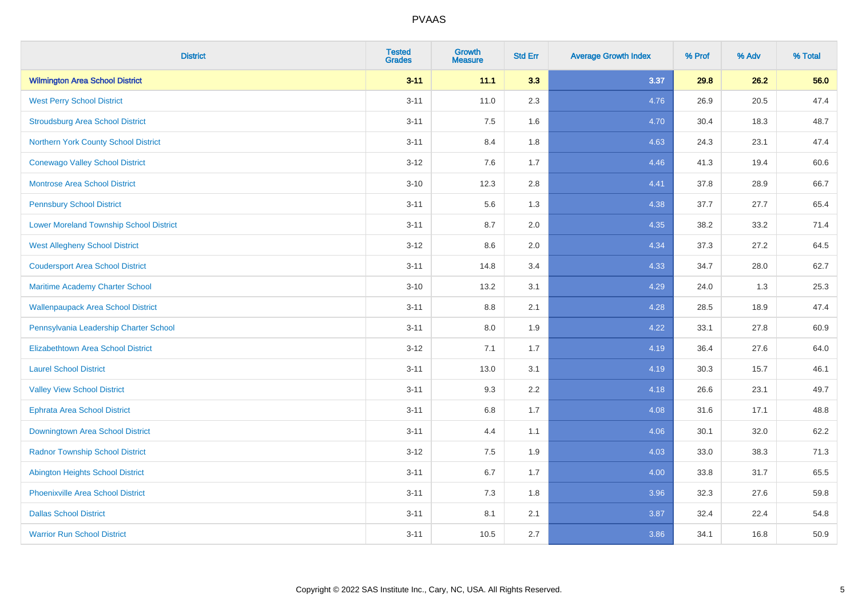| <b>District</b>                                | <b>Tested</b><br><b>Grades</b> | Growth<br><b>Measure</b> | <b>Std Err</b> | <b>Average Growth Index</b> | % Prof | % Adv | % Total |
|------------------------------------------------|--------------------------------|--------------------------|----------------|-----------------------------|--------|-------|---------|
| <b>Wilmington Area School District</b>         | $3 - 11$                       | 11.1                     | 3.3            | 3.37                        | 29.8   | 26.2  | 56.0    |
| <b>West Perry School District</b>              | $3 - 11$                       | 11.0                     | 2.3            | 4.76                        | 26.9   | 20.5  | 47.4    |
| <b>Stroudsburg Area School District</b>        | $3 - 11$                       | 7.5                      | 1.6            | 4.70                        | 30.4   | 18.3  | 48.7    |
| Northern York County School District           | $3 - 11$                       | 8.4                      | 1.8            | 4.63                        | 24.3   | 23.1  | 47.4    |
| <b>Conewago Valley School District</b>         | $3 - 12$                       | 7.6                      | 1.7            | 4.46                        | 41.3   | 19.4  | 60.6    |
| <b>Montrose Area School District</b>           | $3 - 10$                       | 12.3                     | 2.8            | 4.41                        | 37.8   | 28.9  | 66.7    |
| <b>Pennsbury School District</b>               | $3 - 11$                       | 5.6                      | 1.3            | 4.38                        | 37.7   | 27.7  | 65.4    |
| <b>Lower Moreland Township School District</b> | $3 - 11$                       | 8.7                      | 2.0            | 4.35                        | 38.2   | 33.2  | 71.4    |
| <b>West Allegheny School District</b>          | $3 - 12$                       | 8.6                      | 2.0            | 4.34                        | 37.3   | 27.2  | 64.5    |
| <b>Coudersport Area School District</b>        | $3 - 11$                       | 14.8                     | 3.4            | 4.33                        | 34.7   | 28.0  | 62.7    |
| Maritime Academy Charter School                | $3 - 10$                       | 13.2                     | 3.1            | 4.29                        | 24.0   | 1.3   | 25.3    |
| <b>Wallenpaupack Area School District</b>      | $3 - 11$                       | $8.8\,$                  | 2.1            | 4.28                        | 28.5   | 18.9  | 47.4    |
| Pennsylvania Leadership Charter School         | $3 - 11$                       | 8.0                      | 1.9            | 4.22                        | 33.1   | 27.8  | 60.9    |
| <b>Elizabethtown Area School District</b>      | $3 - 12$                       | 7.1                      | 1.7            | 4.19                        | 36.4   | 27.6  | 64.0    |
| <b>Laurel School District</b>                  | $3 - 11$                       | 13.0                     | 3.1            | 4.19                        | 30.3   | 15.7  | 46.1    |
| <b>Valley View School District</b>             | $3 - 11$                       | 9.3                      | 2.2            | 4.18                        | 26.6   | 23.1  | 49.7    |
| <b>Ephrata Area School District</b>            | $3 - 11$                       | $6.8\,$                  | 1.7            | 4.08                        | 31.6   | 17.1  | 48.8    |
| Downingtown Area School District               | $3 - 11$                       | 4.4                      | 1.1            | 4.06                        | 30.1   | 32.0  | 62.2    |
| <b>Radnor Township School District</b>         | $3 - 12$                       | 7.5                      | 1.9            | 4.03                        | 33.0   | 38.3  | 71.3    |
| <b>Abington Heights School District</b>        | $3 - 11$                       | 6.7                      | 1.7            | 4.00                        | 33.8   | 31.7  | 65.5    |
| Phoenixville Area School District              | $3 - 11$                       | 7.3                      | 1.8            | 3.96                        | 32.3   | 27.6  | 59.8    |
| <b>Dallas School District</b>                  | $3 - 11$                       | 8.1                      | 2.1            | 3.87                        | 32.4   | 22.4  | 54.8    |
| <b>Warrior Run School District</b>             | $3 - 11$                       | 10.5                     | 2.7            | 3.86                        | 34.1   | 16.8  | 50.9    |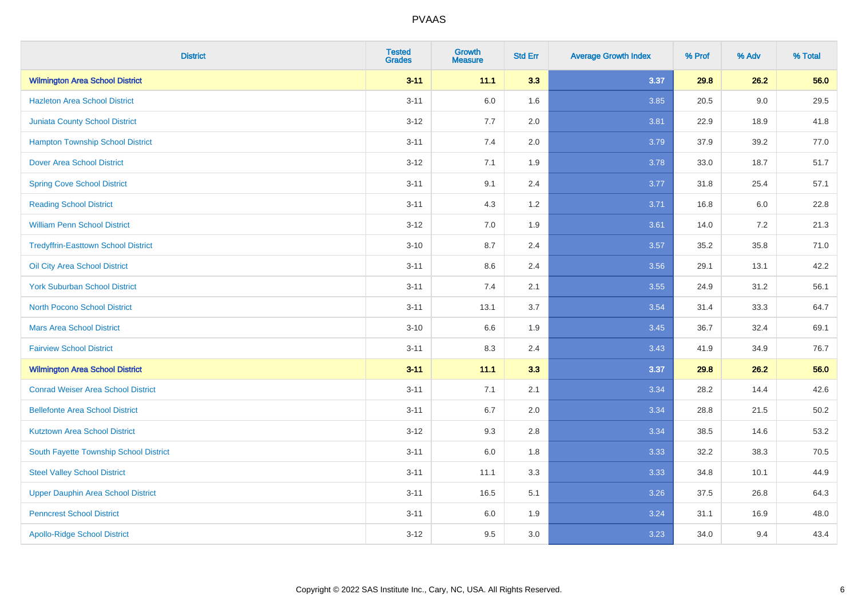| <b>District</b>                            | <b>Tested</b><br><b>Grades</b> | <b>Growth</b><br><b>Measure</b> | <b>Std Err</b> | <b>Average Growth Index</b> | % Prof | % Adv | % Total  |
|--------------------------------------------|--------------------------------|---------------------------------|----------------|-----------------------------|--------|-------|----------|
| <b>Wilmington Area School District</b>     | $3 - 11$                       | 11.1                            | 3.3            | 3.37                        | 29.8   | 26.2  | 56.0     |
| <b>Hazleton Area School District</b>       | $3 - 11$                       | $6.0\,$                         | 1.6            | 3.85                        | 20.5   | 9.0   | 29.5     |
| <b>Juniata County School District</b>      | $3 - 12$                       | 7.7                             | 2.0            | 3.81                        | 22.9   | 18.9  | 41.8     |
| <b>Hampton Township School District</b>    | $3 - 11$                       | 7.4                             | 2.0            | 3.79                        | 37.9   | 39.2  | 77.0     |
| <b>Dover Area School District</b>          | $3 - 12$                       | 7.1                             | 1.9            | 3.78                        | 33.0   | 18.7  | 51.7     |
| <b>Spring Cove School District</b>         | $3 - 11$                       | 9.1                             | 2.4            | 3.77                        | 31.8   | 25.4  | 57.1     |
| <b>Reading School District</b>             | $3 - 11$                       | 4.3                             | 1.2            | 3.71                        | 16.8   | 6.0   | 22.8     |
| <b>William Penn School District</b>        | $3 - 12$                       | 7.0                             | 1.9            | 3.61                        | 14.0   | 7.2   | 21.3     |
| <b>Tredyffrin-Easttown School District</b> | $3 - 10$                       | 8.7                             | 2.4            | 3.57                        | 35.2   | 35.8  | 71.0     |
| Oil City Area School District              | $3 - 11$                       | 8.6                             | 2.4            | 3.56                        | 29.1   | 13.1  | 42.2     |
| <b>York Suburban School District</b>       | $3 - 11$                       | 7.4                             | 2.1            | 3.55                        | 24.9   | 31.2  | 56.1     |
| <b>North Pocono School District</b>        | $3 - 11$                       | 13.1                            | 3.7            | 3.54                        | 31.4   | 33.3  | 64.7     |
| <b>Mars Area School District</b>           | $3 - 10$                       | 6.6                             | 1.9            | 3.45                        | 36.7   | 32.4  | 69.1     |
| <b>Fairview School District</b>            | $3 - 11$                       | 8.3                             | 2.4            | 3.43                        | 41.9   | 34.9  | 76.7     |
| <b>Wilmington Area School District</b>     | $3 - 11$                       | 11.1                            | 3.3            | 3.37                        | 29.8   | 26.2  | 56.0     |
| <b>Conrad Weiser Area School District</b>  | $3 - 11$                       | 7.1                             | 2.1            | 3.34                        | 28.2   | 14.4  | 42.6     |
| <b>Bellefonte Area School District</b>     | $3 - 11$                       | 6.7                             | 2.0            | 3.34                        | 28.8   | 21.5  | $50.2\,$ |
| <b>Kutztown Area School District</b>       | $3 - 12$                       | 9.3                             | 2.8            | 3.34                        | 38.5   | 14.6  | 53.2     |
| South Fayette Township School District     | $3 - 11$                       | $6.0\,$                         | 1.8            | 3.33                        | 32.2   | 38.3  | 70.5     |
| <b>Steel Valley School District</b>        | $3 - 11$                       | 11.1                            | 3.3            | 3.33                        | 34.8   | 10.1  | 44.9     |
| Upper Dauphin Area School District         | $3 - 11$                       | 16.5                            | 5.1            | 3.26                        | 37.5   | 26.8  | 64.3     |
| <b>Penncrest School District</b>           | $3 - 11$                       | 6.0                             | 1.9            | 3.24                        | 31.1   | 16.9  | 48.0     |
| <b>Apollo-Ridge School District</b>        | $3 - 12$                       | 9.5                             | 3.0            | 3.23                        | 34.0   | 9.4   | 43.4     |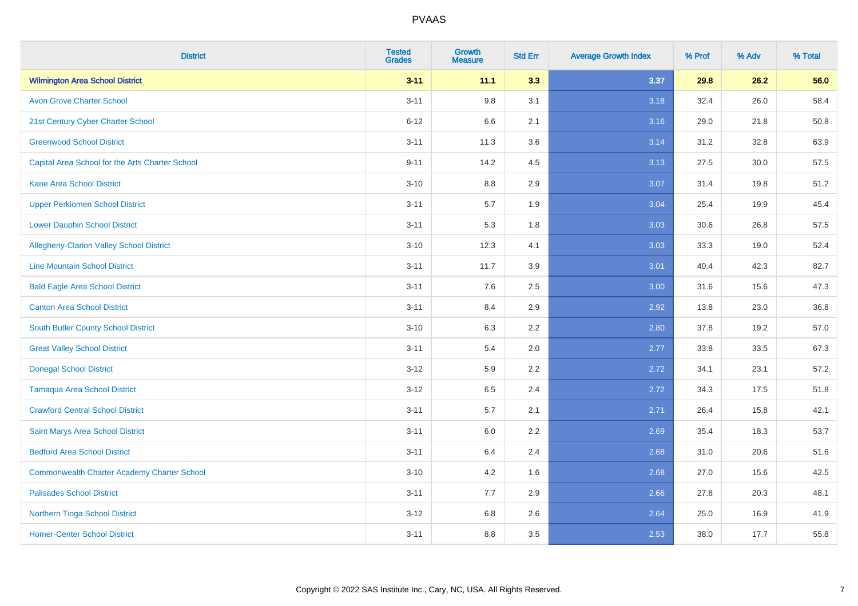| <b>District</b>                                    | <b>Tested</b><br><b>Grades</b> | <b>Growth</b><br><b>Measure</b> | <b>Std Err</b> | <b>Average Growth Index</b> | % Prof | % Adv | % Total |
|----------------------------------------------------|--------------------------------|---------------------------------|----------------|-----------------------------|--------|-------|---------|
| <b>Wilmington Area School District</b>             | $3 - 11$                       | 11.1                            | 3.3            | 3.37                        | 29.8   | 26.2  | 56.0    |
| <b>Avon Grove Charter School</b>                   | $3 - 11$                       | 9.8                             | 3.1            | 3.18                        | 32.4   | 26.0  | 58.4    |
| 21st Century Cyber Charter School                  | $6 - 12$                       | 6.6                             | 2.1            | 3.16                        | 29.0   | 21.8  | 50.8    |
| <b>Greenwood School District</b>                   | $3 - 11$                       | 11.3                            | 3.6            | 3.14                        | 31.2   | 32.8  | 63.9    |
| Capital Area School for the Arts Charter School    | $9 - 11$                       | 14.2                            | 4.5            | 3.13                        | 27.5   | 30.0  | 57.5    |
| <b>Kane Area School District</b>                   | $3 - 10$                       | 8.8                             | 2.9            | 3.07                        | 31.4   | 19.8  | 51.2    |
| <b>Upper Perkiomen School District</b>             | $3 - 11$                       | 5.7                             | 1.9            | 3.04                        | 25.4   | 19.9  | 45.4    |
| <b>Lower Dauphin School District</b>               | $3 - 11$                       | 5.3                             | 1.8            | 3.03                        | 30.6   | 26.8  | 57.5    |
| Allegheny-Clarion Valley School District           | $3 - 10$                       | 12.3                            | 4.1            | 3.03                        | 33.3   | 19.0  | 52.4    |
| <b>Line Mountain School District</b>               | $3 - 11$                       | 11.7                            | 3.9            | 3.01                        | 40.4   | 42.3  | 82.7    |
| <b>Bald Eagle Area School District</b>             | $3 - 11$                       | 7.6                             | 2.5            | 3.00                        | 31.6   | 15.6  | 47.3    |
| <b>Canton Area School District</b>                 | $3 - 11$                       | 8.4                             | 2.9            | 2.92                        | 13.8   | 23.0  | 36.8    |
| <b>South Butler County School District</b>         | $3 - 10$                       | 6.3                             | 2.2            | 2.80                        | 37.8   | 19.2  | 57.0    |
| <b>Great Valley School District</b>                | $3 - 11$                       | 5.4                             | 2.0            | 2.77                        | 33.8   | 33.5  | 67.3    |
| <b>Donegal School District</b>                     | $3 - 12$                       | 5.9                             | 2.2            | 2.72                        | 34.1   | 23.1  | 57.2    |
| <b>Tamaqua Area School District</b>                | $3-12$                         | 6.5                             | 2.4            | 2.72                        | 34.3   | 17.5  | 51.8    |
| <b>Crawford Central School District</b>            | $3 - 11$                       | 5.7                             | 2.1            | 2.71                        | 26.4   | 15.8  | 42.1    |
| Saint Marys Area School District                   | $3 - 11$                       | 6.0                             | 2.2            | 2.69                        | 35.4   | 18.3  | 53.7    |
| <b>Bedford Area School District</b>                | $3 - 11$                       | 6.4                             | 2.4            | 2.68                        | 31.0   | 20.6  | 51.6    |
| <b>Commonwealth Charter Academy Charter School</b> | $3 - 10$                       | 4.2                             | 1.6            | 2.68                        | 27.0   | 15.6  | 42.5    |
| <b>Palisades School District</b>                   | $3 - 11$                       | 7.7                             | 2.9            | 2.66                        | 27.8   | 20.3  | 48.1    |
| <b>Northern Tioga School District</b>              | $3 - 12$                       | 6.8                             | 2.6            | 2.64                        | 25.0   | 16.9  | 41.9    |
| <b>Homer-Center School District</b>                | $3 - 11$                       | 8.8                             | 3.5            | 2.53                        | 38.0   | 17.7  | 55.8    |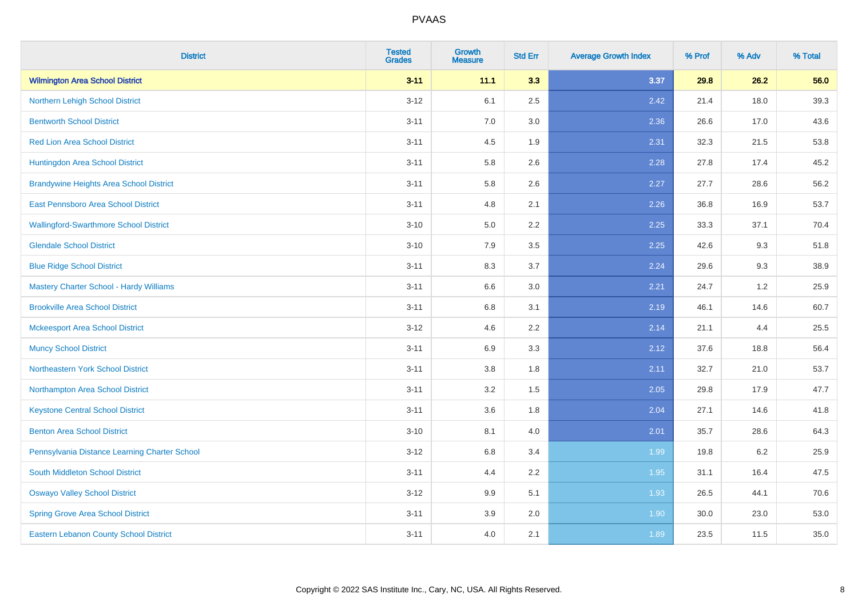| <b>District</b>                                | <b>Tested</b><br><b>Grades</b> | <b>Growth</b><br><b>Measure</b> | <b>Std Err</b> | <b>Average Growth Index</b> | % Prof | % Adv | % Total |
|------------------------------------------------|--------------------------------|---------------------------------|----------------|-----------------------------|--------|-------|---------|
| <b>Wilmington Area School District</b>         | $3 - 11$                       | 11.1                            | 3.3            | 3.37                        | 29.8   | 26.2  | 56.0    |
| Northern Lehigh School District                | $3 - 12$                       | 6.1                             | 2.5            | 2.42                        | 21.4   | 18.0  | 39.3    |
| <b>Bentworth School District</b>               | $3 - 11$                       | 7.0                             | 3.0            | 2.36                        | 26.6   | 17.0  | 43.6    |
| <b>Red Lion Area School District</b>           | $3 - 11$                       | 4.5                             | 1.9            | 2.31                        | 32.3   | 21.5  | 53.8    |
| Huntingdon Area School District                | $3 - 11$                       | 5.8                             | 2.6            | 2.28                        | 27.8   | 17.4  | 45.2    |
| <b>Brandywine Heights Area School District</b> | $3 - 11$                       | 5.8                             | 2.6            | 2.27                        | 27.7   | 28.6  | 56.2    |
| East Pennsboro Area School District            | $3 - 11$                       | 4.8                             | 2.1            | 2.26                        | 36.8   | 16.9  | 53.7    |
| <b>Wallingford-Swarthmore School District</b>  | $3 - 10$                       | 5.0                             | 2.2            | 2.25                        | 33.3   | 37.1  | 70.4    |
| <b>Glendale School District</b>                | $3 - 10$                       | 7.9                             | 3.5            | 2.25                        | 42.6   | 9.3   | 51.8    |
| <b>Blue Ridge School District</b>              | $3 - 11$                       | 8.3                             | 3.7            | 2.24                        | 29.6   | 9.3   | 38.9    |
| <b>Mastery Charter School - Hardy Williams</b> | $3 - 11$                       | 6.6                             | 3.0            | 2.21                        | 24.7   | 1.2   | 25.9    |
| <b>Brookville Area School District</b>         | $3 - 11$                       | 6.8                             | 3.1            | 2.19                        | 46.1   | 14.6  | 60.7    |
| <b>Mckeesport Area School District</b>         | $3 - 12$                       | 4.6                             | 2.2            | 2.14                        | 21.1   | 4.4   | 25.5    |
| <b>Muncy School District</b>                   | $3 - 11$                       | 6.9                             | 3.3            | 2.12                        | 37.6   | 18.8  | 56.4    |
| Northeastern York School District              | $3 - 11$                       | 3.8                             | 1.8            | 2.11                        | 32.7   | 21.0  | 53.7    |
| Northampton Area School District               | $3 - 11$                       | 3.2                             | 1.5            | 2.05                        | 29.8   | 17.9  | 47.7    |
| <b>Keystone Central School District</b>        | $3 - 11$                       | 3.6                             | 1.8            | 2.04                        | 27.1   | 14.6  | 41.8    |
| <b>Benton Area School District</b>             | $3 - 10$                       | 8.1                             | 4.0            | 2.01                        | 35.7   | 28.6  | 64.3    |
| Pennsylvania Distance Learning Charter School  | $3 - 12$                       | $6.8\,$                         | 3.4            | 1.99                        | 19.8   | 6.2   | 25.9    |
| South Middleton School District                | $3 - 11$                       | 4.4                             | 2.2            | 1.95                        | 31.1   | 16.4  | 47.5    |
| <b>Oswayo Valley School District</b>           | $3 - 12$                       | 9.9                             | 5.1            | 1.93                        | 26.5   | 44.1  | 70.6    |
| <b>Spring Grove Area School District</b>       | $3 - 11$                       | 3.9                             | 2.0            | 1.90                        | 30.0   | 23.0  | 53.0    |
| <b>Eastern Lebanon County School District</b>  | $3 - 11$                       | $4.0\,$                         | 2.1            | 1.89                        | 23.5   | 11.5  | 35.0    |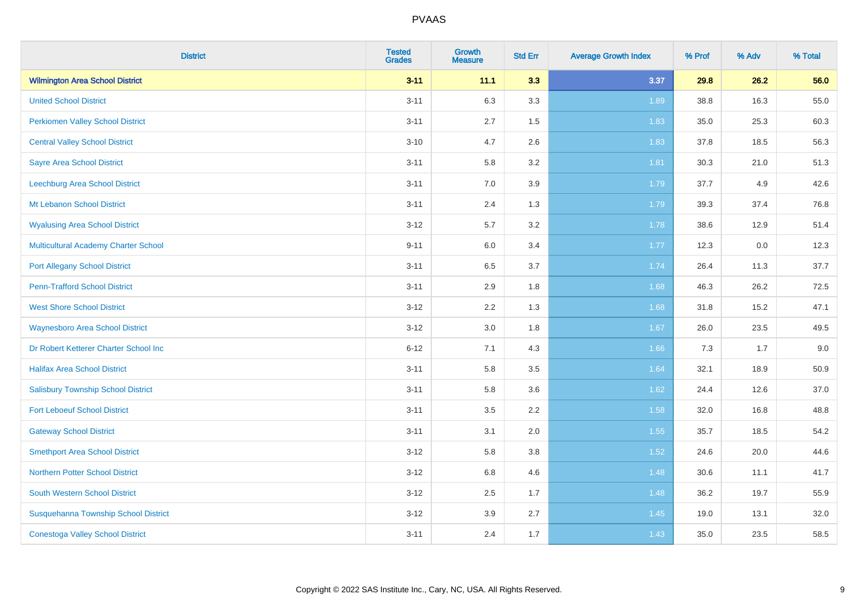| <b>District</b>                             | <b>Tested</b><br><b>Grades</b> | Growth<br><b>Measure</b> | <b>Std Err</b> | <b>Average Growth Index</b> | % Prof | % Adv | % Total |
|---------------------------------------------|--------------------------------|--------------------------|----------------|-----------------------------|--------|-------|---------|
| <b>Wilmington Area School District</b>      | $3 - 11$                       | 11.1                     | 3.3            | 3.37                        | 29.8   | 26.2  | 56.0    |
| <b>United School District</b>               | $3 - 11$                       | 6.3                      | 3.3            | 1.89                        | 38.8   | 16.3  | 55.0    |
| <b>Perkiomen Valley School District</b>     | $3 - 11$                       | 2.7                      | 1.5            | 1.83                        | 35.0   | 25.3  | 60.3    |
| <b>Central Valley School District</b>       | $3 - 10$                       | 4.7                      | 2.6            | 1.83                        | 37.8   | 18.5  | 56.3    |
| <b>Sayre Area School District</b>           | $3 - 11$                       | 5.8                      | 3.2            | 1.81                        | 30.3   | 21.0  | 51.3    |
| Leechburg Area School District              | $3 - 11$                       | 7.0                      | 3.9            | 1.79                        | 37.7   | 4.9   | 42.6    |
| Mt Lebanon School District                  | $3 - 11$                       | 2.4                      | 1.3            | 1.79                        | 39.3   | 37.4  | 76.8    |
| <b>Wyalusing Area School District</b>       | $3 - 12$                       | 5.7                      | 3.2            | 1.78                        | 38.6   | 12.9  | 51.4    |
| <b>Multicultural Academy Charter School</b> | $9 - 11$                       | 6.0                      | 3.4            | 1.77                        | 12.3   | 0.0   | 12.3    |
| <b>Port Allegany School District</b>        | $3 - 11$                       | $6.5\,$                  | 3.7            | 1.74                        | 26.4   | 11.3  | 37.7    |
| <b>Penn-Trafford School District</b>        | $3 - 11$                       | 2.9                      | 1.8            | 1.68                        | 46.3   | 26.2  | 72.5    |
| <b>West Shore School District</b>           | $3 - 12$                       | 2.2                      | 1.3            | 1.68                        | 31.8   | 15.2  | 47.1    |
| <b>Waynesboro Area School District</b>      | $3 - 12$                       | 3.0                      | 1.8            | 1.67                        | 26.0   | 23.5  | 49.5    |
| Dr Robert Ketterer Charter School Inc       | $6 - 12$                       | 7.1                      | 4.3            | 1.66                        | 7.3    | 1.7   | 9.0     |
| <b>Halifax Area School District</b>         | $3 - 11$                       | 5.8                      | 3.5            | 1.64                        | 32.1   | 18.9  | 50.9    |
| <b>Salisbury Township School District</b>   | $3 - 11$                       | 5.8                      | 3.6            | 1.62                        | 24.4   | 12.6  | 37.0    |
| <b>Fort Leboeuf School District</b>         | $3 - 11$                       | 3.5                      | 2.2            | 1.58                        | 32.0   | 16.8  | 48.8    |
| <b>Gateway School District</b>              | $3 - 11$                       | 3.1                      | 2.0            | 1.55                        | 35.7   | 18.5  | 54.2    |
| <b>Smethport Area School District</b>       | $3 - 12$                       | 5.8                      | 3.8            | $1.52$                      | 24.6   | 20.0  | 44.6    |
| <b>Northern Potter School District</b>      | $3 - 12$                       | 6.8                      | 4.6            | 1.48                        | 30.6   | 11.1  | 41.7    |
| South Western School District               | $3 - 12$                       | 2.5                      | 1.7            | 1.48                        | 36.2   | 19.7  | 55.9    |
| Susquehanna Township School District        | $3 - 12$                       | 3.9                      | 2.7            | 1.45                        | 19.0   | 13.1  | 32.0    |
| <b>Conestoga Valley School District</b>     | $3 - 11$                       | 2.4                      | 1.7            | 1.43                        | 35.0   | 23.5  | 58.5    |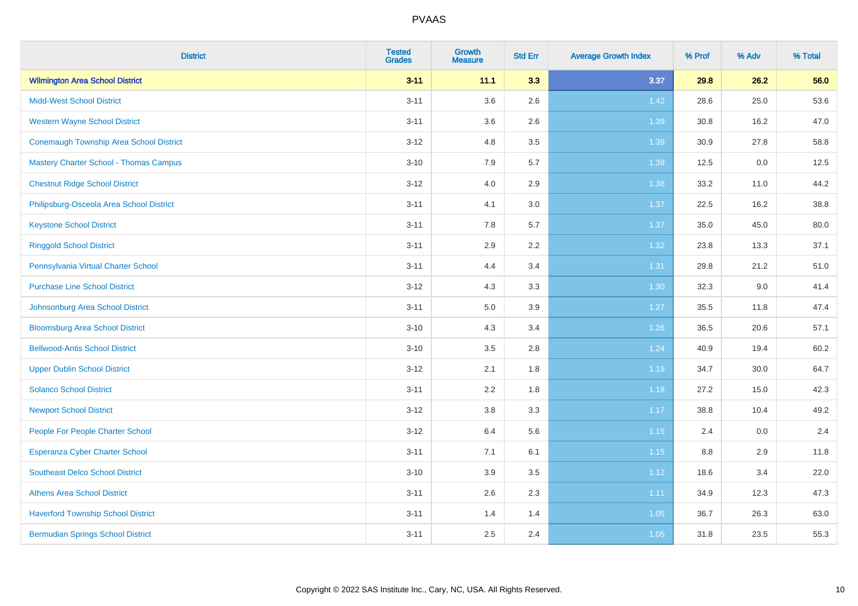| <b>District</b>                               | <b>Tested</b><br><b>Grades</b> | <b>Growth</b><br><b>Measure</b> | <b>Std Err</b> | <b>Average Growth Index</b> | % Prof | % Adv | % Total |
|-----------------------------------------------|--------------------------------|---------------------------------|----------------|-----------------------------|--------|-------|---------|
| <b>Wilmington Area School District</b>        | $3 - 11$                       | 11.1                            | 3.3            | 3.37                        | 29.8   | 26.2  | 56.0    |
| <b>Midd-West School District</b>              | $3 - 11$                       | 3.6                             | 2.6            | 1.42                        | 28.6   | 25.0  | 53.6    |
| <b>Western Wayne School District</b>          | $3 - 11$                       | 3.6                             | 2.6            | 1.39                        | 30.8   | 16.2  | 47.0    |
| Conemaugh Township Area School District       | $3 - 12$                       | 4.8                             | 3.5            | 1.39                        | 30.9   | 27.8  | 58.8    |
| <b>Mastery Charter School - Thomas Campus</b> | $3 - 10$                       | 7.9                             | 5.7            | 1.39                        | 12.5   | 0.0   | 12.5    |
| <b>Chestnut Ridge School District</b>         | $3 - 12$                       | 4.0                             | 2.9            | 1.38                        | 33.2   | 11.0  | 44.2    |
| Philipsburg-Osceola Area School District      | $3 - 11$                       | 4.1                             | 3.0            | 1.37                        | 22.5   | 16.2  | 38.8    |
| <b>Keystone School District</b>               | $3 - 11$                       | 7.8                             | 5.7            | 1.37                        | 35.0   | 45.0  | 80.0    |
| <b>Ringgold School District</b>               | $3 - 11$                       | 2.9                             | 2.2            | 1.32                        | 23.8   | 13.3  | 37.1    |
| Pennsylvania Virtual Charter School           | $3 - 11$                       | 4.4                             | 3.4            | 1.31                        | 29.8   | 21.2  | 51.0    |
| <b>Purchase Line School District</b>          | $3 - 12$                       | 4.3                             | 3.3            | 1.30                        | 32.3   | 9.0   | 41.4    |
| Johnsonburg Area School District              | $3 - 11$                       | 5.0                             | 3.9            | 1.27                        | 35.5   | 11.8  | 47.4    |
| <b>Bloomsburg Area School District</b>        | $3 - 10$                       | 4.3                             | 3.4            | 1.26                        | 36.5   | 20.6  | 57.1    |
| <b>Bellwood-Antis School District</b>         | $3 - 10$                       | 3.5                             | 2.8            | 1.24                        | 40.9   | 19.4  | 60.2    |
| <b>Upper Dublin School District</b>           | $3 - 12$                       | 2.1                             | 1.8            | 1.19                        | 34.7   | 30.0  | 64.7    |
| <b>Solanco School District</b>                | $3 - 11$                       | 2.2                             | 1.8            | 1.18                        | 27.2   | 15.0  | 42.3    |
| <b>Newport School District</b>                | $3 - 12$                       | 3.8                             | 3.3            | 1.17                        | 38.8   | 10.4  | 49.2    |
| People For People Charter School              | $3 - 12$                       | 6.4                             | 5.6            | 1.15                        | 2.4    | 0.0   | 2.4     |
| <b>Esperanza Cyber Charter School</b>         | $3 - 11$                       | 7.1                             | 6.1            | 1.15                        | 8.8    | 2.9   | 11.8    |
| <b>Southeast Delco School District</b>        | $3 - 10$                       | 3.9                             | 3.5            | 1.12                        | 18.6   | 3.4   | 22.0    |
| <b>Athens Area School District</b>            | $3 - 11$                       | 2.6                             | 2.3            | 1.11                        | 34.9   | 12.3  | 47.3    |
| <b>Haverford Township School District</b>     | $3 - 11$                       | 1.4                             | 1.4            | $1.05$                      | 36.7   | 26.3  | 63.0    |
| <b>Bermudian Springs School District</b>      | $3 - 11$                       | 2.5                             | 2.4            | 1.05                        | 31.8   | 23.5  | 55.3    |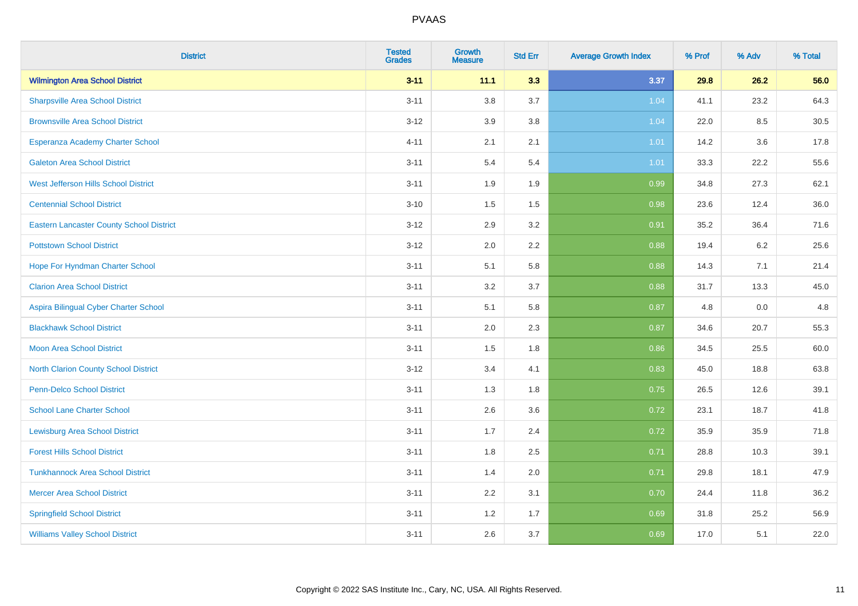| <b>District</b>                                 | <b>Tested</b><br><b>Grades</b> | Growth<br><b>Measure</b> | <b>Std Err</b> | <b>Average Growth Index</b> | % Prof | % Adv   | % Total |
|-------------------------------------------------|--------------------------------|--------------------------|----------------|-----------------------------|--------|---------|---------|
| <b>Wilmington Area School District</b>          | $3 - 11$                       | 11.1                     | 3.3            | 3.37                        | 29.8   | 26.2    | 56.0    |
| <b>Sharpsville Area School District</b>         | $3 - 11$                       | 3.8                      | 3.7            | 1.04                        | 41.1   | 23.2    | 64.3    |
| <b>Brownsville Area School District</b>         | $3 - 12$                       | 3.9                      | 3.8            | 1.04                        | 22.0   | 8.5     | 30.5    |
| Esperanza Academy Charter School                | $4 - 11$                       | 2.1                      | 2.1            | 1.01                        | 14.2   | $3.6\,$ | 17.8    |
| <b>Galeton Area School District</b>             | $3 - 11$                       | 5.4                      | 5.4            | 1.01                        | 33.3   | 22.2    | 55.6    |
| West Jefferson Hills School District            | $3 - 11$                       | 1.9                      | 1.9            | 0.99                        | 34.8   | 27.3    | 62.1    |
| <b>Centennial School District</b>               | $3 - 10$                       | 1.5                      | 1.5            | 0.98                        | 23.6   | 12.4    | 36.0    |
| <b>Eastern Lancaster County School District</b> | $3 - 12$                       | 2.9                      | 3.2            | 0.91                        | 35.2   | 36.4    | 71.6    |
| <b>Pottstown School District</b>                | $3 - 12$                       | 2.0                      | 2.2            | 0.88                        | 19.4   | 6.2     | 25.6    |
| Hope For Hyndman Charter School                 | $3 - 11$                       | 5.1                      | 5.8            | 0.88                        | 14.3   | 7.1     | 21.4    |
| <b>Clarion Area School District</b>             | $3 - 11$                       | 3.2                      | 3.7            | 0.88                        | 31.7   | 13.3    | 45.0    |
| Aspira Bilingual Cyber Charter School           | $3 - 11$                       | 5.1                      | 5.8            | 0.87                        | 4.8    | 0.0     | 4.8     |
| <b>Blackhawk School District</b>                | $3 - 11$                       | 2.0                      | 2.3            | 0.87                        | 34.6   | 20.7    | 55.3    |
| <b>Moon Area School District</b>                | $3 - 11$                       | 1.5                      | 1.8            | 0.86                        | 34.5   | 25.5    | 60.0    |
| <b>North Clarion County School District</b>     | $3 - 12$                       | 3.4                      | 4.1            | 0.83                        | 45.0   | 18.8    | 63.8    |
| <b>Penn-Delco School District</b>               | $3 - 11$                       | 1.3                      | 1.8            | 0.75                        | 26.5   | 12.6    | 39.1    |
| <b>School Lane Charter School</b>               | $3 - 11$                       | 2.6                      | 3.6            | 0.72                        | 23.1   | 18.7    | 41.8    |
| <b>Lewisburg Area School District</b>           | $3 - 11$                       | 1.7                      | 2.4            | 0.72                        | 35.9   | 35.9    | 71.8    |
| <b>Forest Hills School District</b>             | $3 - 11$                       | 1.8                      | 2.5            | 0.71                        | 28.8   | 10.3    | 39.1    |
| <b>Tunkhannock Area School District</b>         | $3 - 11$                       | 1.4                      | 2.0            | 0.71                        | 29.8   | 18.1    | 47.9    |
| <b>Mercer Area School District</b>              | $3 - 11$                       | 2.2                      | 3.1            | 0.70                        | 24.4   | 11.8    | 36.2    |
| <b>Springfield School District</b>              | $3 - 11$                       | 1.2                      | 1.7            | 0.69                        | 31.8   | 25.2    | 56.9    |
| <b>Williams Valley School District</b>          | $3 - 11$                       | 2.6                      | 3.7            | 0.69                        | 17.0   | 5.1     | 22.0    |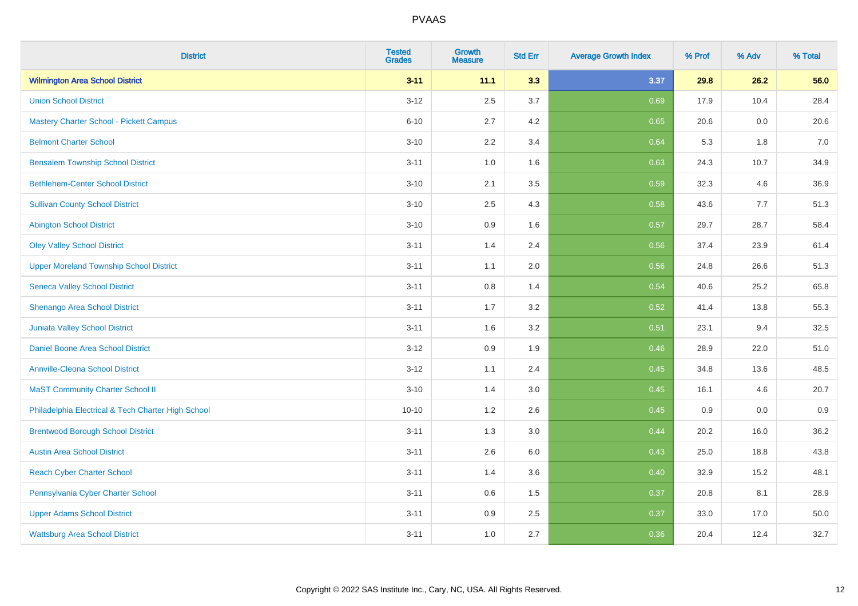| <b>District</b>                                    | <b>Tested</b><br><b>Grades</b> | <b>Growth</b><br><b>Measure</b> | <b>Std Err</b> | <b>Average Growth Index</b> | % Prof | % Adv | % Total |
|----------------------------------------------------|--------------------------------|---------------------------------|----------------|-----------------------------|--------|-------|---------|
| <b>Wilmington Area School District</b>             | $3 - 11$                       | 11.1                            | 3.3            | 3.37                        | 29.8   | 26.2  | 56.0    |
| <b>Union School District</b>                       | $3 - 12$                       | 2.5                             | 3.7            | 0.69                        | 17.9   | 10.4  | 28.4    |
| <b>Mastery Charter School - Pickett Campus</b>     | $6 - 10$                       | 2.7                             | 4.2            | 0.65                        | 20.6   | 0.0   | 20.6    |
| <b>Belmont Charter School</b>                      | $3 - 10$                       | 2.2                             | 3.4            | 0.64                        | 5.3    | 1.8   | $7.0\,$ |
| <b>Bensalem Township School District</b>           | $3 - 11$                       | 1.0                             | 1.6            | 0.63                        | 24.3   | 10.7  | 34.9    |
| <b>Bethlehem-Center School District</b>            | $3 - 10$                       | 2.1                             | 3.5            | 0.59                        | 32.3   | 4.6   | 36.9    |
| <b>Sullivan County School District</b>             | $3 - 10$                       | 2.5                             | 4.3            | 0.58                        | 43.6   | 7.7   | 51.3    |
| <b>Abington School District</b>                    | $3 - 10$                       | 0.9                             | 1.6            | 0.57                        | 29.7   | 28.7  | 58.4    |
| <b>Oley Valley School District</b>                 | $3 - 11$                       | 1.4                             | 2.4            | 0.56                        | 37.4   | 23.9  | 61.4    |
| <b>Upper Moreland Township School District</b>     | $3 - 11$                       | 1.1                             | 2.0            | 0.56                        | 24.8   | 26.6  | 51.3    |
| <b>Seneca Valley School District</b>               | $3 - 11$                       | 0.8                             | 1.4            | 0.54                        | 40.6   | 25.2  | 65.8    |
| Shenango Area School District                      | $3 - 11$                       | 1.7                             | 3.2            | 0.52                        | 41.4   | 13.8  | 55.3    |
| Juniata Valley School District                     | $3 - 11$                       | 1.6                             | 3.2            | 0.51                        | 23.1   | 9.4   | 32.5    |
| Daniel Boone Area School District                  | $3 - 12$                       | 0.9                             | 1.9            | 0.46                        | 28.9   | 22.0  | 51.0    |
| <b>Annville-Cleona School District</b>             | $3 - 12$                       | 1.1                             | 2.4            | 0.45                        | 34.8   | 13.6  | 48.5    |
| <b>MaST Community Charter School II</b>            | $3 - 10$                       | 1.4                             | 3.0            | 0.45                        | 16.1   | 4.6   | 20.7    |
| Philadelphia Electrical & Tech Charter High School | $10 - 10$                      | 1.2                             | 2.6            | 0.45                        | 0.9    | 0.0   | 0.9     |
| <b>Brentwood Borough School District</b>           | $3 - 11$                       | 1.3                             | 3.0            | 0.44                        | 20.2   | 16.0  | 36.2    |
| <b>Austin Area School District</b>                 | $3 - 11$                       | 2.6                             | 6.0            | 0.43                        | 25.0   | 18.8  | 43.8    |
| <b>Reach Cyber Charter School</b>                  | $3 - 11$                       | 1.4                             | 3.6            | 0.40                        | 32.9   | 15.2  | 48.1    |
| Pennsylvania Cyber Charter School                  | $3 - 11$                       | 0.6                             | 1.5            | 0.37                        | 20.8   | 8.1   | 28.9    |
| <b>Upper Adams School District</b>                 | $3 - 11$                       | 0.9                             | 2.5            | 0.37                        | 33.0   | 17.0  | 50.0    |
| <b>Wattsburg Area School District</b>              | $3 - 11$                       | 1.0                             | 2.7            | 0.36                        | 20.4   | 12.4  | 32.7    |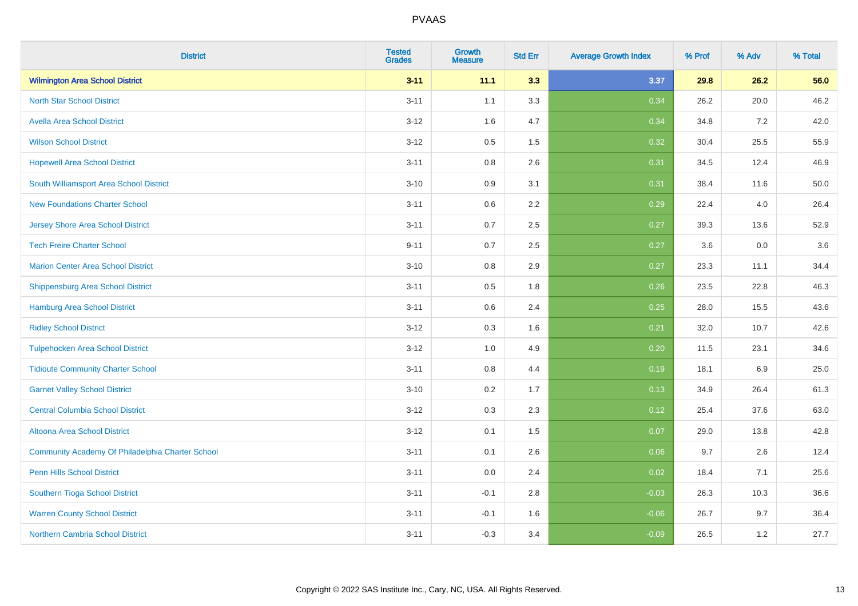| <b>District</b>                                  | <b>Tested</b><br><b>Grades</b> | <b>Growth</b><br><b>Measure</b> | <b>Std Err</b> | <b>Average Growth Index</b> | % Prof | % Adv | % Total |
|--------------------------------------------------|--------------------------------|---------------------------------|----------------|-----------------------------|--------|-------|---------|
| <b>Wilmington Area School District</b>           | $3 - 11$                       | 11.1                            | 3.3            | 3.37                        | 29.8   | 26.2  | 56.0    |
| <b>North Star School District</b>                | $3 - 11$                       | 1.1                             | 3.3            | 0.34                        | 26.2   | 20.0  | 46.2    |
| <b>Avella Area School District</b>               | $3 - 12$                       | 1.6                             | 4.7            | 0.34                        | 34.8   | 7.2   | 42.0    |
| <b>Wilson School District</b>                    | $3 - 12$                       | 0.5                             | 1.5            | 0.32                        | 30.4   | 25.5  | 55.9    |
| <b>Hopewell Area School District</b>             | $3 - 11$                       | 0.8                             | 2.6            | 0.31                        | 34.5   | 12.4  | 46.9    |
| South Williamsport Area School District          | $3 - 10$                       | 0.9                             | 3.1            | 0.31                        | 38.4   | 11.6  | 50.0    |
| <b>New Foundations Charter School</b>            | $3 - 11$                       | 0.6                             | 2.2            | 0.29                        | 22.4   | 4.0   | 26.4    |
| <b>Jersey Shore Area School District</b>         | $3 - 11$                       | 0.7                             | 2.5            | 0.27                        | 39.3   | 13.6  | 52.9    |
| <b>Tech Freire Charter School</b>                | $9 - 11$                       | 0.7                             | 2.5            | 0.27                        | 3.6    | 0.0   | 3.6     |
| <b>Marion Center Area School District</b>        | $3 - 10$                       | 0.8                             | 2.9            | 0.27                        | 23.3   | 11.1  | 34.4    |
| <b>Shippensburg Area School District</b>         | $3 - 11$                       | 0.5                             | 1.8            | 0.26                        | 23.5   | 22.8  | 46.3    |
| <b>Hamburg Area School District</b>              | $3 - 11$                       | 0.6                             | 2.4            | 0.25                        | 28.0   | 15.5  | 43.6    |
| <b>Ridley School District</b>                    | $3 - 12$                       | 0.3                             | 1.6            | 0.21                        | 32.0   | 10.7  | 42.6    |
| <b>Tulpehocken Area School District</b>          | $3-12$                         | 1.0                             | 4.9            | 0.20                        | 11.5   | 23.1  | 34.6    |
| <b>Tidioute Community Charter School</b>         | $3 - 11$                       | 0.8                             | 4.4            | 0.19                        | 18.1   | 6.9   | 25.0    |
| <b>Garnet Valley School District</b>             | $3 - 10$                       | 0.2                             | 1.7            | 0.13                        | 34.9   | 26.4  | 61.3    |
| <b>Central Columbia School District</b>          | $3-12$                         | 0.3                             | 2.3            | 0.12                        | 25.4   | 37.6  | 63.0    |
| Altoona Area School District                     | $3 - 12$                       | 0.1                             | 1.5            | 0.07                        | 29.0   | 13.8  | 42.8    |
| Community Academy Of Philadelphia Charter School | $3 - 11$                       | 0.1                             | 2.6            | 0.06                        | 9.7    | 2.6   | 12.4    |
| Penn Hills School District                       | $3 - 11$                       | 0.0                             | 2.4            | 0.02                        | 18.4   | 7.1   | 25.6    |
| Southern Tioga School District                   | $3 - 11$                       | $-0.1$                          | 2.8            | $-0.03$                     | 26.3   | 10.3  | 36.6    |
| <b>Warren County School District</b>             | $3 - 11$                       | $-0.1$                          | 1.6            | $-0.06$                     | 26.7   | 9.7   | 36.4    |
| <b>Northern Cambria School District</b>          | $3 - 11$                       | $-0.3$                          | 3.4            | $-0.09$                     | 26.5   | $1.2$ | 27.7    |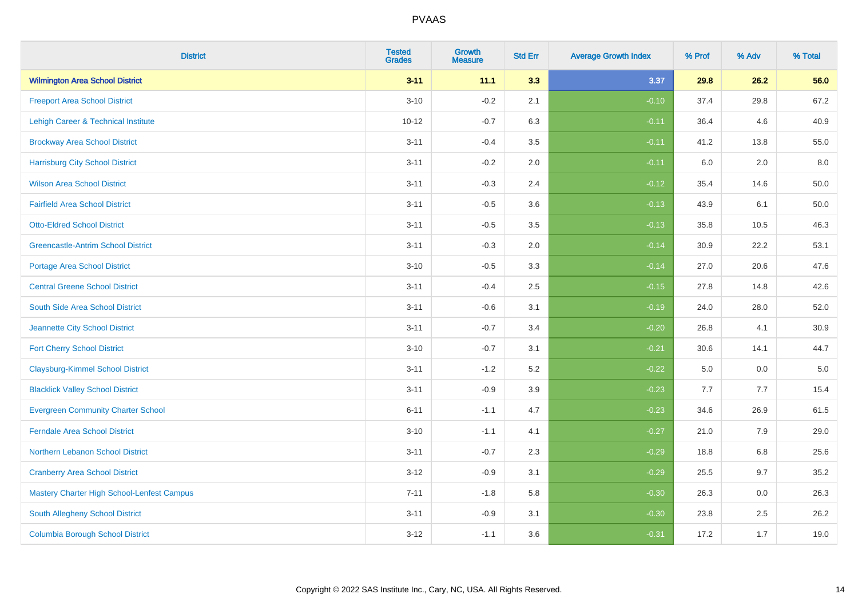| <b>District</b>                            | <b>Tested</b><br><b>Grades</b> | <b>Growth</b><br><b>Measure</b> | <b>Std Err</b> | <b>Average Growth Index</b> | % Prof | % Adv | % Total  |
|--------------------------------------------|--------------------------------|---------------------------------|----------------|-----------------------------|--------|-------|----------|
| <b>Wilmington Area School District</b>     | $3 - 11$                       | 11.1                            | 3.3            | 3.37                        | 29.8   | 26.2  | 56.0     |
| <b>Freeport Area School District</b>       | $3 - 10$                       | $-0.2$                          | 2.1            | $-0.10$                     | 37.4   | 29.8  | 67.2     |
| Lehigh Career & Technical Institute        | $10 - 12$                      | $-0.7$                          | 6.3            | $-0.11$                     | 36.4   | 4.6   | 40.9     |
| <b>Brockway Area School District</b>       | $3 - 11$                       | $-0.4$                          | 3.5            | $-0.11$                     | 41.2   | 13.8  | 55.0     |
| <b>Harrisburg City School District</b>     | $3 - 11$                       | $-0.2$                          | 2.0            | $-0.11$                     | 6.0    | 2.0   | 8.0      |
| <b>Wilson Area School District</b>         | $3 - 11$                       | $-0.3$                          | 2.4            | $-0.12$                     | 35.4   | 14.6  | 50.0     |
| <b>Fairfield Area School District</b>      | $3 - 11$                       | $-0.5$                          | 3.6            | $-0.13$                     | 43.9   | 6.1   | $50.0\,$ |
| <b>Otto-Eldred School District</b>         | $3 - 11$                       | $-0.5$                          | 3.5            | $-0.13$                     | 35.8   | 10.5  | 46.3     |
| <b>Greencastle-Antrim School District</b>  | $3 - 11$                       | $-0.3$                          | 2.0            | $-0.14$                     | 30.9   | 22.2  | 53.1     |
| <b>Portage Area School District</b>        | $3 - 10$                       | $-0.5$                          | 3.3            | $-0.14$                     | 27.0   | 20.6  | 47.6     |
| <b>Central Greene School District</b>      | $3 - 11$                       | $-0.4$                          | 2.5            | $-0.15$                     | 27.8   | 14.8  | 42.6     |
| South Side Area School District            | $3 - 11$                       | $-0.6$                          | 3.1            | $-0.19$                     | 24.0   | 28.0  | 52.0     |
| Jeannette City School District             | $3 - 11$                       | $-0.7$                          | 3.4            | $-0.20$                     | 26.8   | 4.1   | 30.9     |
| <b>Fort Cherry School District</b>         | $3 - 10$                       | $-0.7$                          | 3.1            | $-0.21$                     | 30.6   | 14.1  | 44.7     |
| <b>Claysburg-Kimmel School District</b>    | $3 - 11$                       | $-1.2$                          | 5.2            | $-0.22$                     | 5.0    | 0.0   | $5.0\,$  |
| <b>Blacklick Valley School District</b>    | $3 - 11$                       | $-0.9$                          | 3.9            | $-0.23$                     | 7.7    | 7.7   | 15.4     |
| <b>Evergreen Community Charter School</b>  | $6 - 11$                       | $-1.1$                          | 4.7            | $-0.23$                     | 34.6   | 26.9  | 61.5     |
| <b>Ferndale Area School District</b>       | $3 - 10$                       | $-1.1$                          | 4.1            | $-0.27$                     | 21.0   | 7.9   | 29.0     |
| Northern Lebanon School District           | $3 - 11$                       | $-0.7$                          | 2.3            | $-0.29$                     | 18.8   | 6.8   | 25.6     |
| <b>Cranberry Area School District</b>      | $3 - 12$                       | $-0.9$                          | 3.1            | $-0.29$                     | 25.5   | 9.7   | 35.2     |
| Mastery Charter High School-Lenfest Campus | $7 - 11$                       | $-1.8$                          | 5.8            | $-0.30$                     | 26.3   | 0.0   | 26.3     |
| South Allegheny School District            | $3 - 11$                       | $-0.9$                          | 3.1            | $-0.30$                     | 23.8   | 2.5   | 26.2     |
| <b>Columbia Borough School District</b>    | $3 - 12$                       | $-1.1$                          | 3.6            | $-0.31$                     | 17.2   | 1.7   | 19.0     |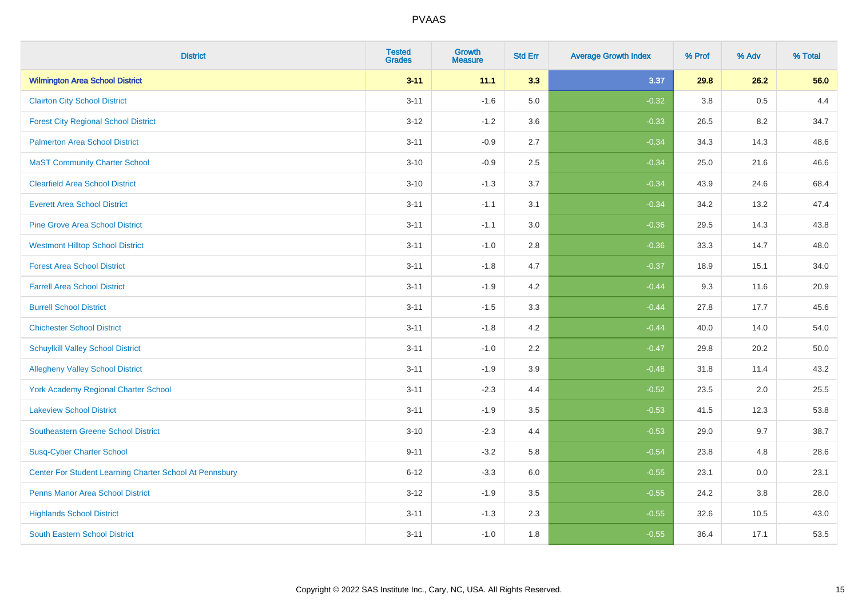| <b>District</b>                                         | <b>Tested</b><br><b>Grades</b> | <b>Growth</b><br><b>Measure</b> | <b>Std Err</b> | <b>Average Growth Index</b> | % Prof | % Adv | % Total |
|---------------------------------------------------------|--------------------------------|---------------------------------|----------------|-----------------------------|--------|-------|---------|
| <b>Wilmington Area School District</b>                  | $3 - 11$                       | 11.1                            | 3.3            | 3.37                        | 29.8   | 26.2  | 56.0    |
| <b>Clairton City School District</b>                    | $3 - 11$                       | $-1.6$                          | 5.0            | $-0.32$                     | 3.8    | 0.5   | 4.4     |
| <b>Forest City Regional School District</b>             | $3 - 12$                       | $-1.2$                          | 3.6            | $-0.33$                     | 26.5   | 8.2   | 34.7    |
| <b>Palmerton Area School District</b>                   | $3 - 11$                       | $-0.9$                          | 2.7            | $-0.34$                     | 34.3   | 14.3  | 48.6    |
| <b>MaST Community Charter School</b>                    | $3 - 10$                       | $-0.9$                          | 2.5            | $-0.34$                     | 25.0   | 21.6  | 46.6    |
| <b>Clearfield Area School District</b>                  | $3 - 10$                       | $-1.3$                          | 3.7            | $-0.34$                     | 43.9   | 24.6  | 68.4    |
| <b>Everett Area School District</b>                     | $3 - 11$                       | $-1.1$                          | 3.1            | $-0.34$                     | 34.2   | 13.2  | 47.4    |
| <b>Pine Grove Area School District</b>                  | $3 - 11$                       | $-1.1$                          | 3.0            | $-0.36$                     | 29.5   | 14.3  | 43.8    |
| <b>Westmont Hilltop School District</b>                 | $3 - 11$                       | $-1.0$                          | 2.8            | $-0.36$                     | 33.3   | 14.7  | 48.0    |
| <b>Forest Area School District</b>                      | $3 - 11$                       | $-1.8$                          | 4.7            | $-0.37$                     | 18.9   | 15.1  | 34.0    |
| <b>Farrell Area School District</b>                     | $3 - 11$                       | $-1.9$                          | 4.2            | $-0.44$                     | 9.3    | 11.6  | 20.9    |
| <b>Burrell School District</b>                          | $3 - 11$                       | $-1.5$                          | 3.3            | $-0.44$                     | 27.8   | 17.7  | 45.6    |
| <b>Chichester School District</b>                       | $3 - 11$                       | $-1.8$                          | 4.2            | $-0.44$                     | 40.0   | 14.0  | 54.0    |
| <b>Schuylkill Valley School District</b>                | $3 - 11$                       | $-1.0$                          | 2.2            | $-0.47$                     | 29.8   | 20.2  | 50.0    |
| <b>Allegheny Valley School District</b>                 | $3 - 11$                       | $-1.9$                          | 3.9            | $-0.48$                     | 31.8   | 11.4  | 43.2    |
| York Academy Regional Charter School                    | $3 - 11$                       | $-2.3$                          | 4.4            | $-0.52$                     | 23.5   | 2.0   | 25.5    |
| <b>Lakeview School District</b>                         | $3 - 11$                       | $-1.9$                          | 3.5            | $-0.53$                     | 41.5   | 12.3  | 53.8    |
| <b>Southeastern Greene School District</b>              | $3 - 10$                       | $-2.3$                          | 4.4            | $-0.53$                     | 29.0   | 9.7   | 38.7    |
| <b>Susq-Cyber Charter School</b>                        | $9 - 11$                       | $-3.2$                          | 5.8            | $-0.54$                     | 23.8   | 4.8   | 28.6    |
| Center For Student Learning Charter School At Pennsbury | $6 - 12$                       | $-3.3$                          | 6.0            | $-0.55$                     | 23.1   | 0.0   | 23.1    |
| <b>Penns Manor Area School District</b>                 | $3 - 12$                       | $-1.9$                          | 3.5            | $-0.55$                     | 24.2   | 3.8   | 28.0    |
| <b>Highlands School District</b>                        | $3 - 11$                       | $-1.3$                          | 2.3            | $-0.55$                     | 32.6   | 10.5  | 43.0    |
| <b>South Eastern School District</b>                    | $3 - 11$                       | $-1.0$                          | 1.8            | $-0.55$                     | 36.4   | 17.1  | 53.5    |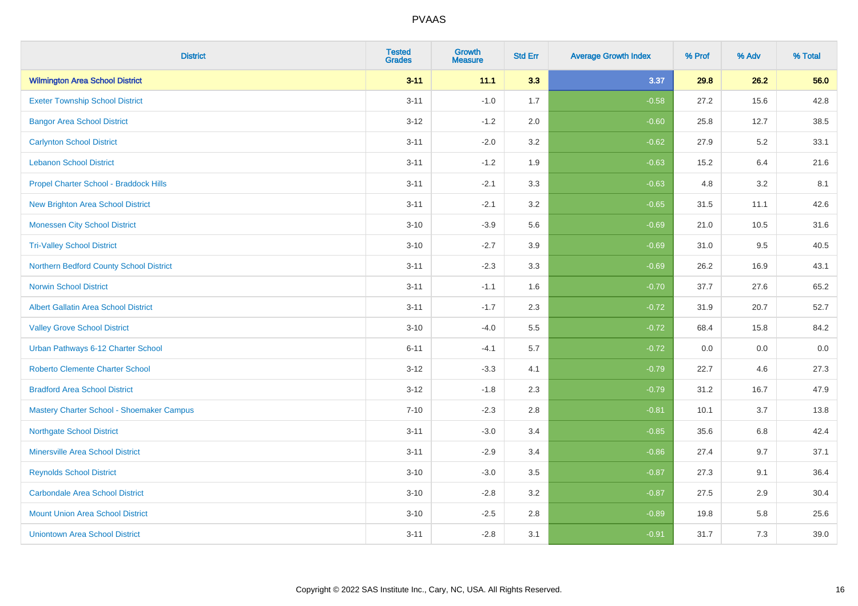| <b>District</b>                             | <b>Tested</b><br><b>Grades</b> | <b>Growth</b><br><b>Measure</b> | <b>Std Err</b> | <b>Average Growth Index</b> | % Prof | % Adv | % Total |
|---------------------------------------------|--------------------------------|---------------------------------|----------------|-----------------------------|--------|-------|---------|
| <b>Wilmington Area School District</b>      | $3 - 11$                       | 11.1                            | 3.3            | 3.37                        | 29.8   | 26.2  | 56.0    |
| <b>Exeter Township School District</b>      | $3 - 11$                       | $-1.0$                          | 1.7            | $-0.58$                     | 27.2   | 15.6  | 42.8    |
| <b>Bangor Area School District</b>          | $3 - 12$                       | $-1.2$                          | 2.0            | $-0.60$                     | 25.8   | 12.7  | 38.5    |
| <b>Carlynton School District</b>            | $3 - 11$                       | $-2.0$                          | 3.2            | $-0.62$                     | 27.9   | 5.2   | 33.1    |
| <b>Lebanon School District</b>              | $3 - 11$                       | $-1.2$                          | 1.9            | $-0.63$                     | 15.2   | 6.4   | 21.6    |
| Propel Charter School - Braddock Hills      | $3 - 11$                       | $-2.1$                          | 3.3            | $-0.63$                     | 4.8    | 3.2   | 8.1     |
| <b>New Brighton Area School District</b>    | $3 - 11$                       | $-2.1$                          | 3.2            | $-0.65$                     | 31.5   | 11.1  | 42.6    |
| <b>Monessen City School District</b>        | $3 - 10$                       | $-3.9$                          | 5.6            | $-0.69$                     | 21.0   | 10.5  | 31.6    |
| <b>Tri-Valley School District</b>           | $3 - 10$                       | $-2.7$                          | 3.9            | $-0.69$                     | 31.0   | 9.5   | 40.5    |
| Northern Bedford County School District     | $3 - 11$                       | $-2.3$                          | 3.3            | $-0.69$                     | 26.2   | 16.9  | 43.1    |
| <b>Norwin School District</b>               | $3 - 11$                       | $-1.1$                          | 1.6            | $-0.70$                     | 37.7   | 27.6  | 65.2    |
| <b>Albert Gallatin Area School District</b> | $3 - 11$                       | $-1.7$                          | 2.3            | $-0.72$                     | 31.9   | 20.7  | 52.7    |
| <b>Valley Grove School District</b>         | $3 - 10$                       | $-4.0$                          | 5.5            | $-0.72$                     | 68.4   | 15.8  | 84.2    |
| Urban Pathways 6-12 Charter School          | $6 - 11$                       | $-4.1$                          | 5.7            | $-0.72$                     | 0.0    | 0.0   | $0.0\,$ |
| <b>Roberto Clemente Charter School</b>      | $3 - 12$                       | $-3.3$                          | 4.1            | $-0.79$                     | 22.7   | 4.6   | 27.3    |
| <b>Bradford Area School District</b>        | $3 - 12$                       | $-1.8$                          | 2.3            | $-0.79$                     | 31.2   | 16.7  | 47.9    |
| Mastery Charter School - Shoemaker Campus   | $7 - 10$                       | $-2.3$                          | 2.8            | $-0.81$                     | 10.1   | 3.7   | 13.8    |
| <b>Northgate School District</b>            | $3 - 11$                       | $-3.0$                          | 3.4            | $-0.85$                     | 35.6   | 6.8   | 42.4    |
| <b>Minersville Area School District</b>     | $3 - 11$                       | $-2.9$                          | 3.4            | $-0.86$                     | 27.4   | 9.7   | 37.1    |
| <b>Reynolds School District</b>             | $3 - 10$                       | $-3.0$                          | 3.5            | $-0.87$                     | 27.3   | 9.1   | 36.4    |
| <b>Carbondale Area School District</b>      | $3 - 10$                       | $-2.8$                          | 3.2            | $-0.87$                     | 27.5   | 2.9   | 30.4    |
| <b>Mount Union Area School District</b>     | $3 - 10$                       | $-2.5$                          | 2.8            | $-0.89$                     | 19.8   | 5.8   | 25.6    |
| <b>Uniontown Area School District</b>       | $3 - 11$                       | $-2.8$                          | 3.1            | $-0.91$                     | 31.7   | 7.3   | 39.0    |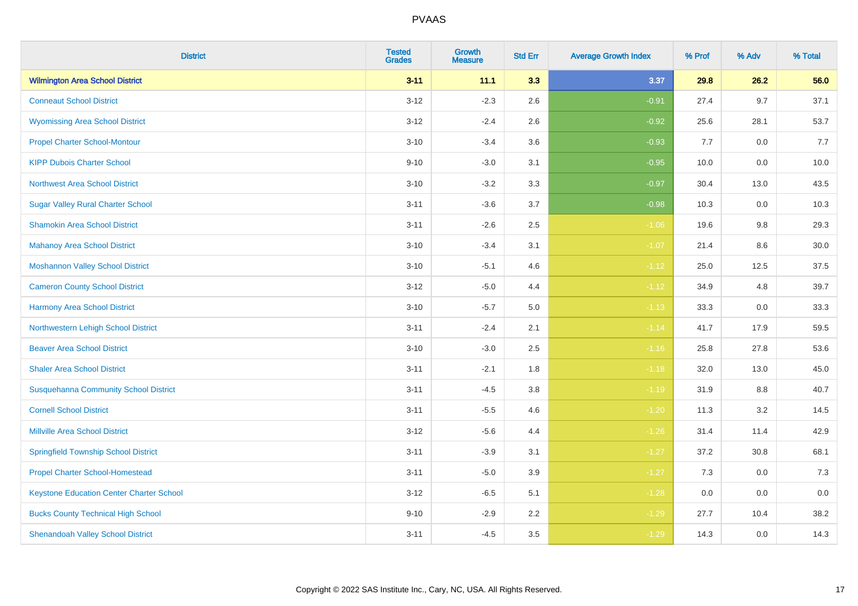| <b>District</b>                                 | <b>Tested</b><br><b>Grades</b> | <b>Growth</b><br><b>Measure</b> | <b>Std Err</b> | <b>Average Growth Index</b> | % Prof | % Adv   | % Total |
|-------------------------------------------------|--------------------------------|---------------------------------|----------------|-----------------------------|--------|---------|---------|
| <b>Wilmington Area School District</b>          | $3 - 11$                       | 11.1                            | 3.3            | 3.37                        | 29.8   | 26.2    | 56.0    |
| <b>Conneaut School District</b>                 | $3 - 12$                       | $-2.3$                          | 2.6            | $-0.91$                     | 27.4   | 9.7     | 37.1    |
| <b>Wyomissing Area School District</b>          | $3 - 12$                       | $-2.4$                          | 2.6            | $-0.92$                     | 25.6   | 28.1    | 53.7    |
| <b>Propel Charter School-Montour</b>            | $3 - 10$                       | $-3.4$                          | 3.6            | $-0.93$                     | 7.7    | $0.0\,$ | 7.7     |
| <b>KIPP Dubois Charter School</b>               | $9 - 10$                       | $-3.0$                          | 3.1            | $-0.95$                     | 10.0   | 0.0     | 10.0    |
| <b>Northwest Area School District</b>           | $3 - 10$                       | $-3.2$                          | 3.3            | $-0.97$                     | 30.4   | 13.0    | 43.5    |
| <b>Sugar Valley Rural Charter School</b>        | $3 - 11$                       | $-3.6$                          | 3.7            | $-0.98$                     | 10.3   | 0.0     | 10.3    |
| <b>Shamokin Area School District</b>            | $3 - 11$                       | $-2.6$                          | 2.5            | $-1.06$                     | 19.6   | 9.8     | 29.3    |
| <b>Mahanoy Area School District</b>             | $3 - 10$                       | $-3.4$                          | 3.1            | $-1.07$                     | 21.4   | 8.6     | 30.0    |
| <b>Moshannon Valley School District</b>         | $3 - 10$                       | $-5.1$                          | 4.6            | $-1.12$                     | 25.0   | 12.5    | 37.5    |
| <b>Cameron County School District</b>           | $3 - 12$                       | $-5.0$                          | 4.4            | $-1.12$                     | 34.9   | 4.8     | 39.7    |
| <b>Harmony Area School District</b>             | $3 - 10$                       | $-5.7$                          | $5.0\,$        | $-1.13$                     | 33.3   | 0.0     | 33.3    |
| Northwestern Lehigh School District             | $3 - 11$                       | $-2.4$                          | 2.1            | $-1.14$                     | 41.7   | 17.9    | 59.5    |
| <b>Beaver Area School District</b>              | $3 - 10$                       | $-3.0$                          | 2.5            | $-1.16$                     | 25.8   | 27.8    | 53.6    |
| <b>Shaler Area School District</b>              | $3 - 11$                       | $-2.1$                          | 1.8            | $-1.18$                     | 32.0   | 13.0    | 45.0    |
| <b>Susquehanna Community School District</b>    | $3 - 11$                       | $-4.5$                          | 3.8            | $-1.19$                     | 31.9   | $8.8\,$ | 40.7    |
| <b>Cornell School District</b>                  | $3 - 11$                       | $-5.5$                          | 4.6            | $-1.20$                     | 11.3   | $3.2\,$ | 14.5    |
| <b>Millville Area School District</b>           | $3-12$                         | $-5.6$                          | 4.4            | $-1.26$                     | 31.4   | 11.4    | 42.9    |
| <b>Springfield Township School District</b>     | $3 - 11$                       | $-3.9$                          | 3.1            | $-1.27$                     | 37.2   | 30.8    | 68.1    |
| <b>Propel Charter School-Homestead</b>          | $3 - 11$                       | $-5.0$                          | 3.9            | $-1.27$                     | 7.3    | 0.0     | 7.3     |
| <b>Keystone Education Center Charter School</b> | $3 - 12$                       | $-6.5$                          | 5.1            | $-1.28$                     | 0.0    | 0.0     | 0.0     |
| <b>Bucks County Technical High School</b>       | $9 - 10$                       | $-2.9$                          | 2.2            | $-1.29$                     | 27.7   | 10.4    | 38.2    |
| <b>Shenandoah Valley School District</b>        | $3 - 11$                       | $-4.5$                          | 3.5            | $-1.29$                     | 14.3   | 0.0     | 14.3    |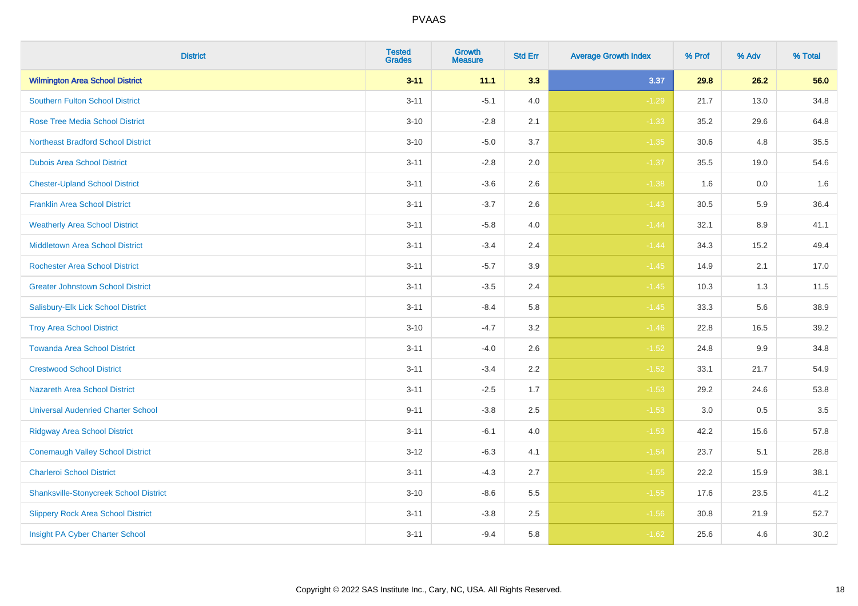| <b>District</b>                               | <b>Tested</b><br><b>Grades</b> | <b>Growth</b><br><b>Measure</b> | <b>Std Err</b> | <b>Average Growth Index</b> | % Prof | % Adv | % Total |
|-----------------------------------------------|--------------------------------|---------------------------------|----------------|-----------------------------|--------|-------|---------|
| <b>Wilmington Area School District</b>        | $3 - 11$                       | 11.1                            | 3.3            | 3.37                        | 29.8   | 26.2  | 56.0    |
| <b>Southern Fulton School District</b>        | $3 - 11$                       | $-5.1$                          | 4.0            | $-1.29$                     | 21.7   | 13.0  | 34.8    |
| <b>Rose Tree Media School District</b>        | $3 - 10$                       | $-2.8$                          | 2.1            | $-1.33$                     | 35.2   | 29.6  | 64.8    |
| <b>Northeast Bradford School District</b>     | $3 - 10$                       | $-5.0$                          | 3.7            | $-1.35$                     | 30.6   | 4.8   | 35.5    |
| <b>Dubois Area School District</b>            | $3 - 11$                       | $-2.8$                          | 2.0            | $-1.37$                     | 35.5   | 19.0  | 54.6    |
| <b>Chester-Upland School District</b>         | $3 - 11$                       | $-3.6$                          | 2.6            | $-1.38$                     | 1.6    | 0.0   | 1.6     |
| <b>Franklin Area School District</b>          | $3 - 11$                       | $-3.7$                          | 2.6            | $-1.43$                     | 30.5   | 5.9   | 36.4    |
| <b>Weatherly Area School District</b>         | $3 - 11$                       | $-5.8$                          | 4.0            | $-1.44$                     | 32.1   | 8.9   | 41.1    |
| <b>Middletown Area School District</b>        | $3 - 11$                       | $-3.4$                          | 2.4            | $-1.44$                     | 34.3   | 15.2  | 49.4    |
| <b>Rochester Area School District</b>         | $3 - 11$                       | $-5.7$                          | 3.9            | $-1.45$                     | 14.9   | 2.1   | 17.0    |
| <b>Greater Johnstown School District</b>      | $3 - 11$                       | $-3.5$                          | 2.4            | $-1.45$                     | 10.3   | 1.3   | 11.5    |
| Salisbury-Elk Lick School District            | $3 - 11$                       | $-8.4$                          | 5.8            | $-1.45$                     | 33.3   | 5.6   | 38.9    |
| <b>Troy Area School District</b>              | $3 - 10$                       | $-4.7$                          | $3.2\,$        | $-1.46$                     | 22.8   | 16.5  | 39.2    |
| <b>Towanda Area School District</b>           | $3 - 11$                       | $-4.0$                          | 2.6            | $-1.52$                     | 24.8   | 9.9   | 34.8    |
| <b>Crestwood School District</b>              | $3 - 11$                       | $-3.4$                          | $2.2\,$        | $-1.52$                     | 33.1   | 21.7  | 54.9    |
| <b>Nazareth Area School District</b>          | $3 - 11$                       | $-2.5$                          | 1.7            | $-1.53$                     | 29.2   | 24.6  | 53.8    |
| <b>Universal Audenried Charter School</b>     | $9 - 11$                       | $-3.8$                          | 2.5            | $-1.53$                     | 3.0    | 0.5   | 3.5     |
| <b>Ridgway Area School District</b>           | $3 - 11$                       | $-6.1$                          | 4.0            | $-1.53$                     | 42.2   | 15.6  | 57.8    |
| <b>Conemaugh Valley School District</b>       | $3 - 12$                       | $-6.3$                          | 4.1            | $-1.54$                     | 23.7   | 5.1   | 28.8    |
| <b>Charleroi School District</b>              | $3 - 11$                       | $-4.3$                          | 2.7            | $-1.55$                     | 22.2   | 15.9  | 38.1    |
| <b>Shanksville-Stonycreek School District</b> | $3 - 10$                       | $-8.6$                          | 5.5            | $-1.55$                     | 17.6   | 23.5  | 41.2    |
| <b>Slippery Rock Area School District</b>     | $3 - 11$                       | $-3.8$                          | 2.5            | $-1.56$                     | 30.8   | 21.9  | 52.7    |
| Insight PA Cyber Charter School               | $3 - 11$                       | $-9.4$                          | 5.8            | $-1.62$                     | 25.6   | 4.6   | 30.2    |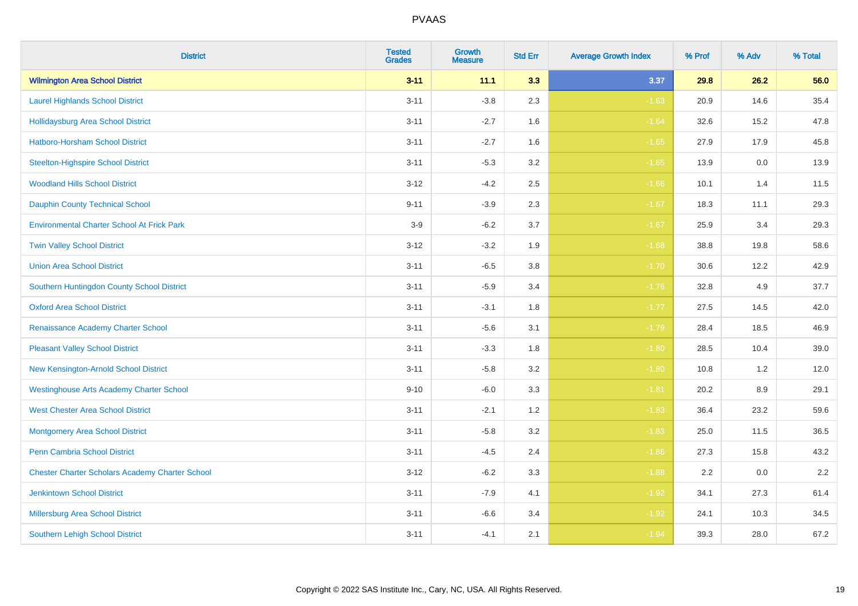| <b>District</b>                                        | <b>Tested</b><br><b>Grades</b> | <b>Growth</b><br><b>Measure</b> | <b>Std Err</b> | <b>Average Growth Index</b> | % Prof | % Adv   | % Total |
|--------------------------------------------------------|--------------------------------|---------------------------------|----------------|-----------------------------|--------|---------|---------|
| <b>Wilmington Area School District</b>                 | $3 - 11$                       | 11.1                            | 3.3            | 3.37                        | 29.8   | 26.2    | 56.0    |
| <b>Laurel Highlands School District</b>                | $3 - 11$                       | $-3.8$                          | 2.3            | $-1.63$                     | 20.9   | 14.6    | 35.4    |
| <b>Hollidaysburg Area School District</b>              | $3 - 11$                       | $-2.7$                          | 1.6            | $-1.64$                     | 32.6   | 15.2    | 47.8    |
| <b>Hatboro-Horsham School District</b>                 | $3 - 11$                       | $-2.7$                          | 1.6            | $-1.65$                     | 27.9   | 17.9    | 45.8    |
| <b>Steelton-Highspire School District</b>              | $3 - 11$                       | $-5.3$                          | 3.2            | $-1.65$                     | 13.9   | 0.0     | 13.9    |
| <b>Woodland Hills School District</b>                  | $3 - 12$                       | $-4.2$                          | 2.5            | $-1.66$                     | 10.1   | 1.4     | 11.5    |
| <b>Dauphin County Technical School</b>                 | $9 - 11$                       | $-3.9$                          | 2.3            | $-1.67$                     | 18.3   | 11.1    | 29.3    |
| <b>Environmental Charter School At Frick Park</b>      | $3-9$                          | $-6.2$                          | 3.7            | $-1.67$                     | 25.9   | 3.4     | 29.3    |
| <b>Twin Valley School District</b>                     | $3 - 12$                       | $-3.2$                          | 1.9            | $-1.68$                     | 38.8   | 19.8    | 58.6    |
| <b>Union Area School District</b>                      | $3 - 11$                       | $-6.5$                          | 3.8            | $-1.70$                     | 30.6   | 12.2    | 42.9    |
| Southern Huntingdon County School District             | $3 - 11$                       | $-5.9$                          | 3.4            | $-1.76$                     | 32.8   | 4.9     | 37.7    |
| <b>Oxford Area School District</b>                     | $3 - 11$                       | $-3.1$                          | 1.8            | $-1.77$                     | 27.5   | 14.5    | 42.0    |
| Renaissance Academy Charter School                     | $3 - 11$                       | $-5.6$                          | 3.1            | $-1.79$                     | 28.4   | 18.5    | 46.9    |
| <b>Pleasant Valley School District</b>                 | $3 - 11$                       | $-3.3$                          | 1.8            | $-1.80$                     | 28.5   | 10.4    | 39.0    |
| New Kensington-Arnold School District                  | $3 - 11$                       | $-5.8$                          | 3.2            | $-1.80$                     | 10.8   | 1.2     | 12.0    |
| <b>Westinghouse Arts Academy Charter School</b>        | $9 - 10$                       | $-6.0$                          | 3.3            | $-1.81$                     | 20.2   | $8.9\,$ | 29.1    |
| <b>West Chester Area School District</b>               | $3 - 11$                       | $-2.1$                          | 1.2            | $-1.83$                     | 36.4   | 23.2    | 59.6    |
| <b>Montgomery Area School District</b>                 | $3 - 11$                       | $-5.8$                          | 3.2            | $-1.83$                     | 25.0   | 11.5    | 36.5    |
| <b>Penn Cambria School District</b>                    | $3 - 11$                       | $-4.5$                          | 2.4            | $-1.86$                     | 27.3   | 15.8    | 43.2    |
| <b>Chester Charter Scholars Academy Charter School</b> | $3 - 12$                       | $-6.2$                          | 3.3            | $-1.88$                     | 2.2    | 0.0     | 2.2     |
| <b>Jenkintown School District</b>                      | $3 - 11$                       | $-7.9$                          | 4.1            | $-1.92$                     | 34.1   | 27.3    | 61.4    |
| Millersburg Area School District                       | $3 - 11$                       | $-6.6$                          | 3.4            | $-1.92$                     | 24.1   | 10.3    | 34.5    |
| <b>Southern Lehigh School District</b>                 | $3 - 11$                       | $-4.1$                          | 2.1            | $-1.94$                     | 39.3   | 28.0    | 67.2    |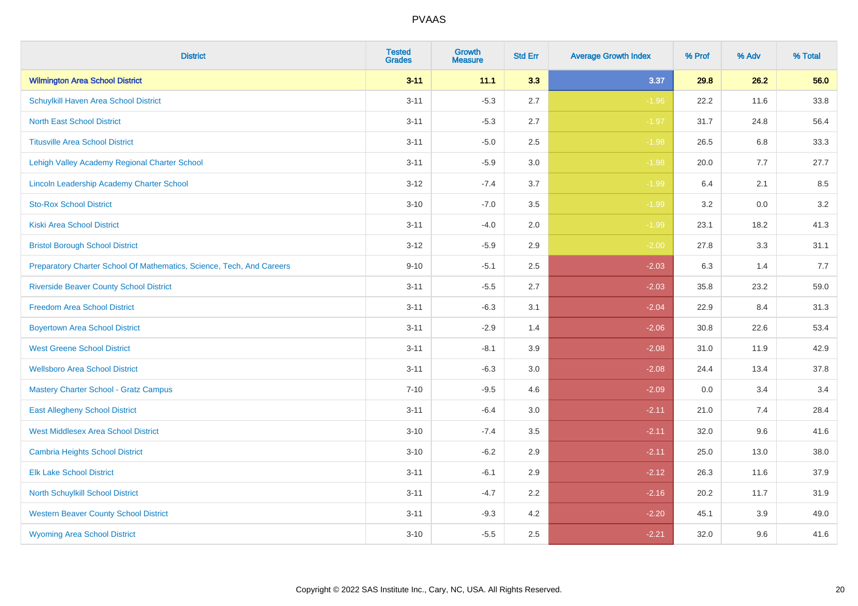| <b>District</b>                                                       | <b>Tested</b><br><b>Grades</b> | <b>Growth</b><br><b>Measure</b> | <b>Std Err</b> | <b>Average Growth Index</b> | % Prof | % Adv   | % Total |
|-----------------------------------------------------------------------|--------------------------------|---------------------------------|----------------|-----------------------------|--------|---------|---------|
| <b>Wilmington Area School District</b>                                | $3 - 11$                       | 11.1                            | 3.3            | 3.37                        | 29.8   | 26.2    | 56.0    |
| Schuylkill Haven Area School District                                 | $3 - 11$                       | $-5.3$                          | 2.7            | $-1.96$                     | 22.2   | 11.6    | 33.8    |
| <b>North East School District</b>                                     | $3 - 11$                       | $-5.3$                          | 2.7            | $-1.97$                     | 31.7   | 24.8    | 56.4    |
| <b>Titusville Area School District</b>                                | $3 - 11$                       | $-5.0$                          | 2.5            | $-1.98$                     | 26.5   | 6.8     | 33.3    |
| Lehigh Valley Academy Regional Charter School                         | $3 - 11$                       | $-5.9$                          | 3.0            | $-1.98$                     | 20.0   | 7.7     | 27.7    |
| Lincoln Leadership Academy Charter School                             | $3 - 12$                       | $-7.4$                          | 3.7            | $-1.99$                     | 6.4    | 2.1     | 8.5     |
| <b>Sto-Rox School District</b>                                        | $3 - 10$                       | $-7.0$                          | 3.5            | $-1.99$                     | 3.2    | $0.0\,$ | 3.2     |
| <b>Kiski Area School District</b>                                     | $3 - 11$                       | $-4.0$                          | 2.0            | $-1.99$                     | 23.1   | 18.2    | 41.3    |
| <b>Bristol Borough School District</b>                                | $3 - 12$                       | $-5.9$                          | 2.9            | $-2.00$                     | 27.8   | 3.3     | 31.1    |
| Preparatory Charter School Of Mathematics, Science, Tech, And Careers | $9 - 10$                       | $-5.1$                          | $2.5\,$        | $-2.03$                     | 6.3    | 1.4     | 7.7     |
| <b>Riverside Beaver County School District</b>                        | $3 - 11$                       | $-5.5$                          | 2.7            | $-2.03$                     | 35.8   | 23.2    | 59.0    |
| <b>Freedom Area School District</b>                                   | $3 - 11$                       | $-6.3$                          | 3.1            | $-2.04$                     | 22.9   | 8.4     | 31.3    |
| <b>Boyertown Area School District</b>                                 | $3 - 11$                       | $-2.9$                          | 1.4            | $-2.06$                     | 30.8   | 22.6    | 53.4    |
| <b>West Greene School District</b>                                    | $3 - 11$                       | $-8.1$                          | 3.9            | $-2.08$                     | 31.0   | 11.9    | 42.9    |
| <b>Wellsboro Area School District</b>                                 | $3 - 11$                       | $-6.3$                          | 3.0            | $-2.08$                     | 24.4   | 13.4    | 37.8    |
| <b>Mastery Charter School - Gratz Campus</b>                          | $7 - 10$                       | $-9.5$                          | 4.6            | $-2.09$                     | 0.0    | 3.4     | 3.4     |
| <b>East Allegheny School District</b>                                 | $3 - 11$                       | $-6.4$                          | 3.0            | $-2.11$                     | 21.0   | 7.4     | 28.4    |
| <b>West Middlesex Area School District</b>                            | $3 - 10$                       | $-7.4$                          | 3.5            | $-2.11$                     | 32.0   | 9.6     | 41.6    |
| <b>Cambria Heights School District</b>                                | $3 - 10$                       | $-6.2$                          | 2.9            | $-2.11$                     | 25.0   | 13.0    | 38.0    |
| <b>Elk Lake School District</b>                                       | $3 - 11$                       | $-6.1$                          | 2.9            | $-2.12$                     | 26.3   | 11.6    | 37.9    |
| North Schuylkill School District                                      | $3 - 11$                       | $-4.7$                          | 2.2            | $-2.16$                     | 20.2   | 11.7    | 31.9    |
| <b>Western Beaver County School District</b>                          | $3 - 11$                       | $-9.3$                          | 4.2            | $-2.20$                     | 45.1   | 3.9     | 49.0    |
| <b>Wyoming Area School District</b>                                   | $3 - 10$                       | $-5.5$                          | 2.5            | $-2.21$                     | 32.0   | 9.6     | 41.6    |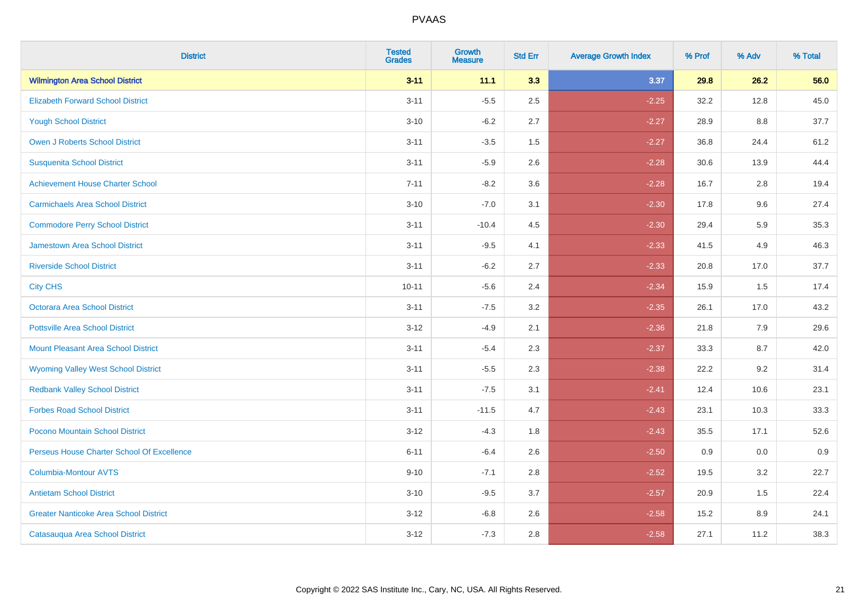| <b>District</b>                               | <b>Tested</b><br><b>Grades</b> | <b>Growth</b><br><b>Measure</b> | <b>Std Err</b> | <b>Average Growth Index</b> | % Prof | % Adv | % Total |
|-----------------------------------------------|--------------------------------|---------------------------------|----------------|-----------------------------|--------|-------|---------|
| <b>Wilmington Area School District</b>        | $3 - 11$                       | 11.1                            | 3.3            | 3.37                        | 29.8   | 26.2  | 56.0    |
| <b>Elizabeth Forward School District</b>      | $3 - 11$                       | $-5.5$                          | 2.5            | $-2.25$                     | 32.2   | 12.8  | 45.0    |
| <b>Yough School District</b>                  | $3 - 10$                       | $-6.2$                          | 2.7            | $-2.27$                     | 28.9   | 8.8   | 37.7    |
| <b>Owen J Roberts School District</b>         | $3 - 11$                       | $-3.5$                          | 1.5            | $-2.27$                     | 36.8   | 24.4  | 61.2    |
| <b>Susquenita School District</b>             | $3 - 11$                       | $-5.9$                          | 2.6            | $-2.28$                     | 30.6   | 13.9  | 44.4    |
| <b>Achievement House Charter School</b>       | $7 - 11$                       | $-8.2$                          | 3.6            | $-2.28$                     | 16.7   | 2.8   | 19.4    |
| <b>Carmichaels Area School District</b>       | $3 - 10$                       | $-7.0$                          | 3.1            | $-2.30$                     | 17.8   | 9.6   | 27.4    |
| <b>Commodore Perry School District</b>        | $3 - 11$                       | $-10.4$                         | 4.5            | $-2.30$                     | 29.4   | 5.9   | 35.3    |
| <b>Jamestown Area School District</b>         | $3 - 11$                       | $-9.5$                          | 4.1            | $-2.33$                     | 41.5   | 4.9   | 46.3    |
| <b>Riverside School District</b>              | $3 - 11$                       | $-6.2$                          | 2.7            | $-2.33$                     | 20.8   | 17.0  | 37.7    |
| <b>City CHS</b>                               | $10 - 11$                      | $-5.6$                          | 2.4            | $-2.34$                     | 15.9   | 1.5   | 17.4    |
| Octorara Area School District                 | $3 - 11$                       | $-7.5$                          | 3.2            | $-2.35$                     | 26.1   | 17.0  | 43.2    |
| <b>Pottsville Area School District</b>        | $3 - 12$                       | $-4.9$                          | 2.1            | $-2.36$                     | 21.8   | 7.9   | 29.6    |
| <b>Mount Pleasant Area School District</b>    | $3 - 11$                       | $-5.4$                          | 2.3            | $-2.37$                     | 33.3   | 8.7   | 42.0    |
| <b>Wyoming Valley West School District</b>    | $3 - 11$                       | $-5.5$                          | 2.3            | $-2.38$                     | 22.2   | 9.2   | 31.4    |
| <b>Redbank Valley School District</b>         | $3 - 11$                       | $-7.5$                          | 3.1            | $-2.41$                     | 12.4   | 10.6  | 23.1    |
| <b>Forbes Road School District</b>            | $3 - 11$                       | $-11.5$                         | 4.7            | $-2.43$                     | 23.1   | 10.3  | 33.3    |
| Pocono Mountain School District               | $3 - 12$                       | $-4.3$                          | 1.8            | $-2.43$                     | 35.5   | 17.1  | 52.6    |
| Perseus House Charter School Of Excellence    | $6 - 11$                       | $-6.4$                          | 2.6            | $-2.50$                     | 0.9    | 0.0   | 0.9     |
| <b>Columbia-Montour AVTS</b>                  | $9 - 10$                       | $-7.1$                          | 2.8            | $-2.52$                     | 19.5   | 3.2   | 22.7    |
| <b>Antietam School District</b>               | $3 - 10$                       | $-9.5$                          | 3.7            | $-2.57$                     | 20.9   | 1.5   | 22.4    |
| <b>Greater Nanticoke Area School District</b> | $3 - 12$                       | $-6.8$                          | 2.6            | $-2.58$                     | 15.2   | 8.9   | 24.1    |
| Catasauqua Area School District               | $3 - 12$                       | $-7.3$                          | 2.8            | $-2.58$                     | 27.1   | 11.2  | 38.3    |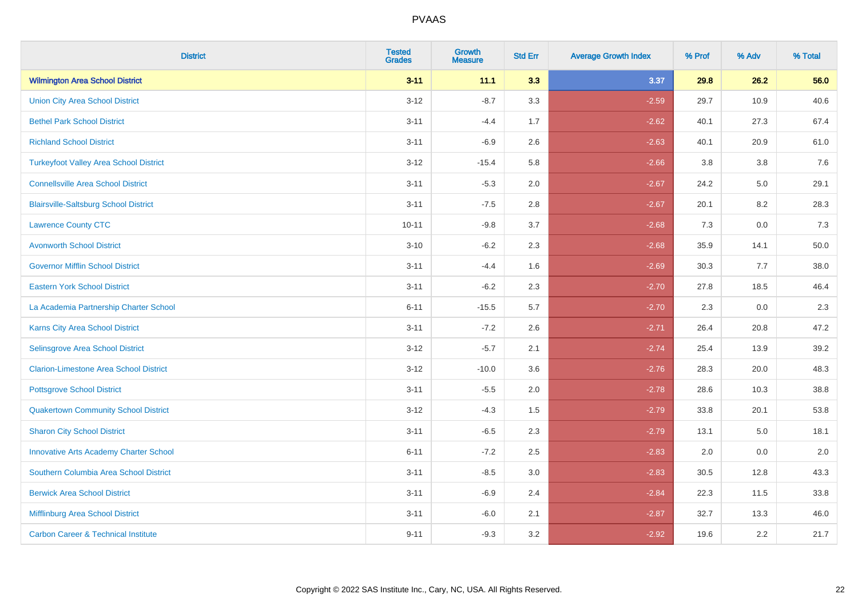| <b>District</b>                                | <b>Tested</b><br><b>Grades</b> | <b>Growth</b><br><b>Measure</b> | <b>Std Err</b> | <b>Average Growth Index</b> | % Prof | % Adv | % Total |
|------------------------------------------------|--------------------------------|---------------------------------|----------------|-----------------------------|--------|-------|---------|
| <b>Wilmington Area School District</b>         | $3 - 11$                       | 11.1                            | 3.3            | 3.37                        | 29.8   | 26.2  | 56.0    |
| <b>Union City Area School District</b>         | $3 - 12$                       | $-8.7$                          | 3.3            | $-2.59$                     | 29.7   | 10.9  | 40.6    |
| <b>Bethel Park School District</b>             | $3 - 11$                       | $-4.4$                          | 1.7            | $-2.62$                     | 40.1   | 27.3  | 67.4    |
| <b>Richland School District</b>                | $3 - 11$                       | $-6.9$                          | 2.6            | $-2.63$                     | 40.1   | 20.9  | 61.0    |
| <b>Turkeyfoot Valley Area School District</b>  | $3 - 12$                       | $-15.4$                         | 5.8            | $-2.66$                     | 3.8    | 3.8   | 7.6     |
| <b>Connellsville Area School District</b>      | $3 - 11$                       | $-5.3$                          | 2.0            | $-2.67$                     | 24.2   | 5.0   | 29.1    |
| <b>Blairsville-Saltsburg School District</b>   | $3 - 11$                       | $-7.5$                          | 2.8            | $-2.67$                     | 20.1   | 8.2   | 28.3    |
| <b>Lawrence County CTC</b>                     | $10 - 11$                      | $-9.8$                          | 3.7            | $-2.68$                     | 7.3    | 0.0   | 7.3     |
| <b>Avonworth School District</b>               | $3 - 10$                       | $-6.2$                          | 2.3            | $-2.68$                     | 35.9   | 14.1  | 50.0    |
| <b>Governor Mifflin School District</b>        | $3 - 11$                       | $-4.4$                          | 1.6            | $-2.69$                     | 30.3   | 7.7   | 38.0    |
| <b>Eastern York School District</b>            | $3 - 11$                       | $-6.2$                          | 2.3            | $-2.70$                     | 27.8   | 18.5  | 46.4    |
| La Academia Partnership Charter School         | $6 - 11$                       | $-15.5$                         | 5.7            | $-2.70$                     | 2.3    | 0.0   | 2.3     |
| Karns City Area School District                | $3 - 11$                       | $-7.2$                          | 2.6            | $-2.71$                     | 26.4   | 20.8  | 47.2    |
| Selinsgrove Area School District               | $3 - 12$                       | $-5.7$                          | 2.1            | $-2.74$                     | 25.4   | 13.9  | 39.2    |
| <b>Clarion-Limestone Area School District</b>  | $3 - 12$                       | $-10.0$                         | 3.6            | $-2.76$                     | 28.3   | 20.0  | 48.3    |
| <b>Pottsgrove School District</b>              | $3 - 11$                       | $-5.5$                          | 2.0            | $-2.78$                     | 28.6   | 10.3  | 38.8    |
| <b>Quakertown Community School District</b>    | $3 - 12$                       | $-4.3$                          | 1.5            | $-2.79$                     | 33.8   | 20.1  | 53.8    |
| <b>Sharon City School District</b>             | $3 - 11$                       | $-6.5$                          | 2.3            | $-2.79$                     | 13.1   | 5.0   | 18.1    |
| <b>Innovative Arts Academy Charter School</b>  | $6 - 11$                       | $-7.2$                          | 2.5            | $-2.83$                     | 2.0    | 0.0   | 2.0     |
| Southern Columbia Area School District         | $3 - 11$                       | $-8.5$                          | 3.0            | $-2.83$                     | 30.5   | 12.8  | 43.3    |
| <b>Berwick Area School District</b>            | $3 - 11$                       | $-6.9$                          | 2.4            | $-2.84$                     | 22.3   | 11.5  | 33.8    |
| Mifflinburg Area School District               | $3 - 11$                       | $-6.0$                          | 2.1            | $-2.87$                     | 32.7   | 13.3  | 46.0    |
| <b>Carbon Career &amp; Technical Institute</b> | $9 - 11$                       | $-9.3$                          | 3.2            | $-2.92$                     | 19.6   | 2.2   | 21.7    |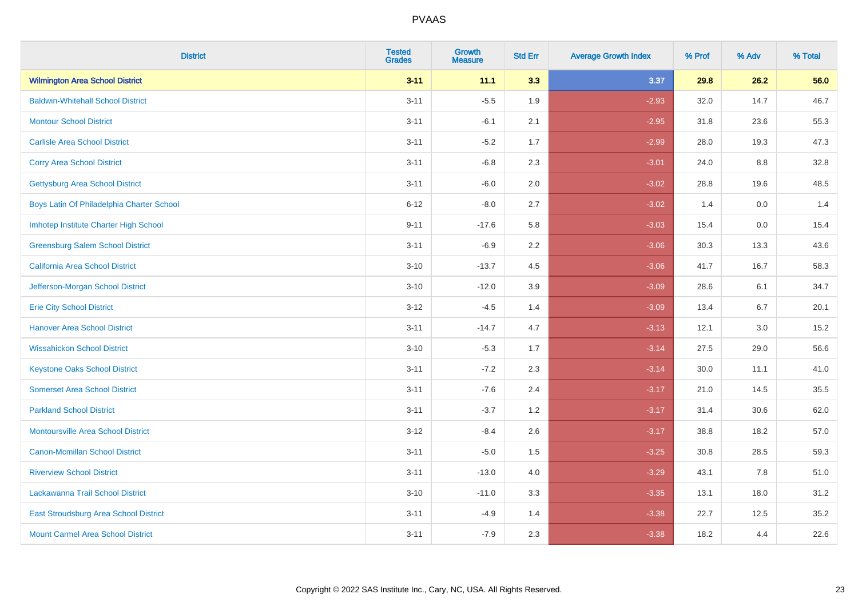| <b>District</b>                           | <b>Tested</b><br><b>Grades</b> | <b>Growth</b><br><b>Measure</b> | <b>Std Err</b> | <b>Average Growth Index</b> | % Prof | % Adv | % Total |
|-------------------------------------------|--------------------------------|---------------------------------|----------------|-----------------------------|--------|-------|---------|
| <b>Wilmington Area School District</b>    | $3 - 11$                       | 11.1                            | 3.3            | 3.37                        | 29.8   | 26.2  | 56.0    |
| <b>Baldwin-Whitehall School District</b>  | $3 - 11$                       | $-5.5$                          | 1.9            | $-2.93$                     | 32.0   | 14.7  | 46.7    |
| <b>Montour School District</b>            | $3 - 11$                       | $-6.1$                          | 2.1            | $-2.95$                     | 31.8   | 23.6  | 55.3    |
| <b>Carlisle Area School District</b>      | $3 - 11$                       | $-5.2$                          | 1.7            | $-2.99$                     | 28.0   | 19.3  | 47.3    |
| <b>Corry Area School District</b>         | $3 - 11$                       | $-6.8$                          | 2.3            | $-3.01$                     | 24.0   | 8.8   | 32.8    |
| <b>Gettysburg Area School District</b>    | $3 - 11$                       | $-6.0$                          | 2.0            | $-3.02$                     | 28.8   | 19.6  | 48.5    |
| Boys Latin Of Philadelphia Charter School | $6 - 12$                       | $-8.0$                          | 2.7            | $-3.02$                     | 1.4    | 0.0   | 1.4     |
| Imhotep Institute Charter High School     | $9 - 11$                       | $-17.6$                         | 5.8            | $-3.03$                     | 15.4   | 0.0   | 15.4    |
| <b>Greensburg Salem School District</b>   | $3 - 11$                       | $-6.9$                          | 2.2            | $-3.06$                     | 30.3   | 13.3  | 43.6    |
| <b>California Area School District</b>    | $3 - 10$                       | $-13.7$                         | 4.5            | $-3.06$                     | 41.7   | 16.7  | 58.3    |
| Jefferson-Morgan School District          | $3 - 10$                       | $-12.0$                         | 3.9            | $-3.09$                     | 28.6   | 6.1   | 34.7    |
| <b>Erie City School District</b>          | $3 - 12$                       | $-4.5$                          | 1.4            | $-3.09$                     | 13.4   | 6.7   | 20.1    |
| <b>Hanover Area School District</b>       | $3 - 11$                       | $-14.7$                         | 4.7            | $-3.13$                     | 12.1   | 3.0   | 15.2    |
| <b>Wissahickon School District</b>        | $3 - 10$                       | $-5.3$                          | 1.7            | $-3.14$                     | 27.5   | 29.0  | 56.6    |
| <b>Keystone Oaks School District</b>      | $3 - 11$                       | $-7.2$                          | 2.3            | $-3.14$                     | 30.0   | 11.1  | 41.0    |
| <b>Somerset Area School District</b>      | $3 - 11$                       | $-7.6$                          | 2.4            | $-3.17$                     | 21.0   | 14.5  | 35.5    |
| <b>Parkland School District</b>           | $3 - 11$                       | $-3.7$                          | 1.2            | $-3.17$                     | 31.4   | 30.6  | 62.0    |
| <b>Montoursville Area School District</b> | $3-12$                         | $-8.4$                          | 2.6            | $-3.17$                     | 38.8   | 18.2  | 57.0    |
| <b>Canon-Mcmillan School District</b>     | $3 - 11$                       | $-5.0$                          | 1.5            | $-3.25$                     | 30.8   | 28.5  | 59.3    |
| <b>Riverview School District</b>          | $3 - 11$                       | $-13.0$                         | 4.0            | $-3.29$                     | 43.1   | 7.8   | 51.0    |
| Lackawanna Trail School District          | $3 - 10$                       | $-11.0$                         | 3.3            | $-3.35$                     | 13.1   | 18.0  | 31.2    |
| East Stroudsburg Area School District     | $3 - 11$                       | $-4.9$                          | 1.4            | $-3.38$                     | 22.7   | 12.5  | 35.2    |
| <b>Mount Carmel Area School District</b>  | $3 - 11$                       | $-7.9$                          | 2.3            | $-3.38$                     | 18.2   | 4.4   | 22.6    |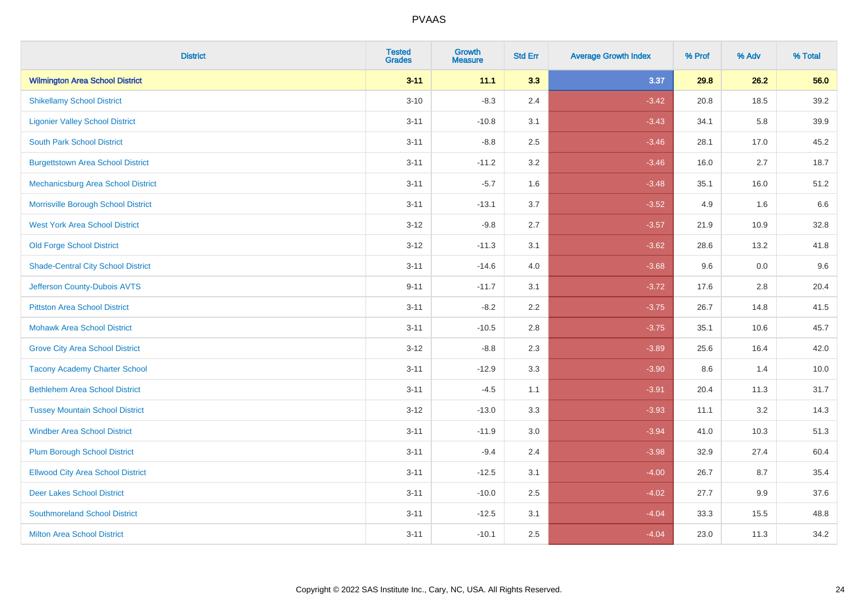| <b>District</b>                           | <b>Tested</b><br><b>Grades</b> | <b>Growth</b><br><b>Measure</b> | <b>Std Err</b> | <b>Average Growth Index</b> | % Prof | % Adv | % Total |
|-------------------------------------------|--------------------------------|---------------------------------|----------------|-----------------------------|--------|-------|---------|
| <b>Wilmington Area School District</b>    | $3 - 11$                       | 11.1                            | 3.3            | 3.37                        | 29.8   | 26.2  | 56.0    |
| <b>Shikellamy School District</b>         | $3 - 10$                       | $-8.3$                          | 2.4            | $-3.42$                     | 20.8   | 18.5  | 39.2    |
| <b>Ligonier Valley School District</b>    | $3 - 11$                       | $-10.8$                         | 3.1            | $-3.43$                     | 34.1   | 5.8   | 39.9    |
| <b>South Park School District</b>         | $3 - 11$                       | $-8.8$                          | 2.5            | $-3.46$                     | 28.1   | 17.0  | 45.2    |
| <b>Burgettstown Area School District</b>  | $3 - 11$                       | $-11.2$                         | 3.2            | $-3.46$                     | 16.0   | 2.7   | 18.7    |
| Mechanicsburg Area School District        | $3 - 11$                       | $-5.7$                          | 1.6            | $-3.48$                     | 35.1   | 16.0  | 51.2    |
| Morrisville Borough School District       | $3 - 11$                       | $-13.1$                         | 3.7            | $-3.52$                     | 4.9    | 1.6   | 6.6     |
| <b>West York Area School District</b>     | $3 - 12$                       | $-9.8$                          | 2.7            | $-3.57$                     | 21.9   | 10.9  | 32.8    |
| <b>Old Forge School District</b>          | $3 - 12$                       | $-11.3$                         | 3.1            | $-3.62$                     | 28.6   | 13.2  | 41.8    |
| <b>Shade-Central City School District</b> | $3 - 11$                       | $-14.6$                         | 4.0            | $-3.68$                     | 9.6    | 0.0   | 9.6     |
| Jefferson County-Dubois AVTS              | $9 - 11$                       | $-11.7$                         | 3.1            | $-3.72$                     | 17.6   | 2.8   | 20.4    |
| <b>Pittston Area School District</b>      | $3 - 11$                       | $-8.2$                          | 2.2            | $-3.75$                     | 26.7   | 14.8  | 41.5    |
| <b>Mohawk Area School District</b>        | $3 - 11$                       | $-10.5$                         | 2.8            | $-3.75$                     | 35.1   | 10.6  | 45.7    |
| <b>Grove City Area School District</b>    | $3 - 12$                       | $-8.8$                          | 2.3            | $-3.89$                     | 25.6   | 16.4  | 42.0    |
| <b>Tacony Academy Charter School</b>      | $3 - 11$                       | $-12.9$                         | 3.3            | $-3.90$                     | 8.6    | 1.4   | 10.0    |
| <b>Bethlehem Area School District</b>     | $3 - 11$                       | $-4.5$                          | 1.1            | $-3.91$                     | 20.4   | 11.3  | 31.7    |
| <b>Tussey Mountain School District</b>    | $3 - 12$                       | $-13.0$                         | 3.3            | $-3.93$                     | 11.1   | 3.2   | 14.3    |
| <b>Windber Area School District</b>       | $3 - 11$                       | $-11.9$                         | 3.0            | $-3.94$                     | 41.0   | 10.3  | 51.3    |
| <b>Plum Borough School District</b>       | $3 - 11$                       | $-9.4$                          | 2.4            | $-3.98$                     | 32.9   | 27.4  | 60.4    |
| <b>Ellwood City Area School District</b>  | $3 - 11$                       | $-12.5$                         | 3.1            | $-4.00$                     | 26.7   | 8.7   | 35.4    |
| <b>Deer Lakes School District</b>         | $3 - 11$                       | $-10.0$                         | 2.5            | $-4.02$                     | 27.7   | 9.9   | 37.6    |
| <b>Southmoreland School District</b>      | $3 - 11$                       | $-12.5$                         | 3.1            | $-4.04$                     | 33.3   | 15.5  | 48.8    |
| <b>Milton Area School District</b>        | $3 - 11$                       | $-10.1$                         | 2.5            | $-4.04$                     | 23.0   | 11.3  | 34.2    |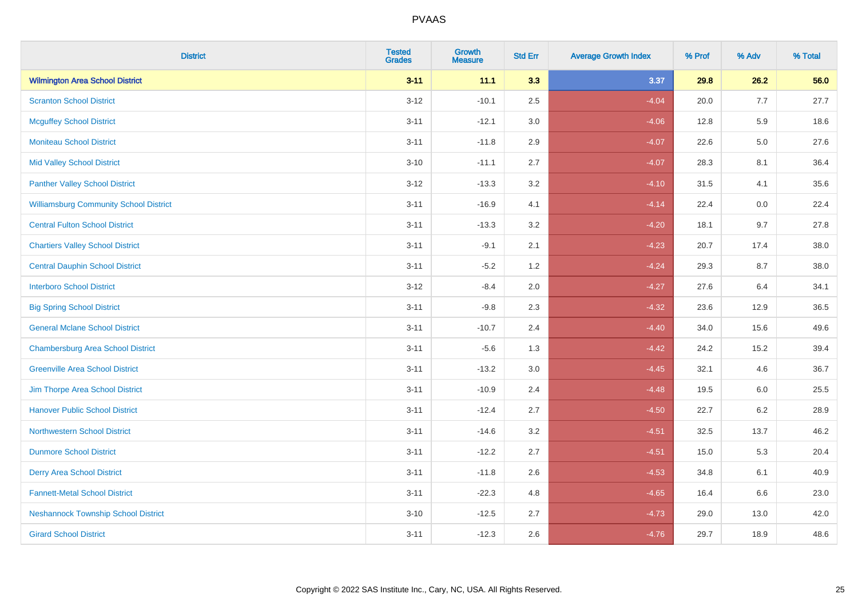| <b>District</b>                               | <b>Tested</b><br>Grades | <b>Growth</b><br><b>Measure</b> | <b>Std Err</b> | <b>Average Growth Index</b> | % Prof | % Adv   | % Total |
|-----------------------------------------------|-------------------------|---------------------------------|----------------|-----------------------------|--------|---------|---------|
| <b>Wilmington Area School District</b>        | $3 - 11$                | 11.1                            | 3.3            | 3.37                        | 29.8   | 26.2    | 56.0    |
| <b>Scranton School District</b>               | $3 - 12$                | $-10.1$                         | 2.5            | $-4.04$                     | 20.0   | 7.7     | 27.7    |
| <b>Mcguffey School District</b>               | $3 - 11$                | $-12.1$                         | 3.0            | $-4.06$                     | 12.8   | 5.9     | 18.6    |
| <b>Moniteau School District</b>               | $3 - 11$                | $-11.8$                         | 2.9            | $-4.07$                     | 22.6   | $5.0\,$ | 27.6    |
| <b>Mid Valley School District</b>             | $3 - 10$                | $-11.1$                         | 2.7            | $-4.07$                     | 28.3   | 8.1     | 36.4    |
| <b>Panther Valley School District</b>         | $3 - 12$                | $-13.3$                         | 3.2            | $-4.10$                     | 31.5   | 4.1     | 35.6    |
| <b>Williamsburg Community School District</b> | $3 - 11$                | $-16.9$                         | 4.1            | $-4.14$                     | 22.4   | 0.0     | 22.4    |
| <b>Central Fulton School District</b>         | $3 - 11$                | $-13.3$                         | 3.2            | $-4.20$                     | 18.1   | 9.7     | 27.8    |
| <b>Chartiers Valley School District</b>       | $3 - 11$                | $-9.1$                          | 2.1            | $-4.23$                     | 20.7   | 17.4    | 38.0    |
| <b>Central Dauphin School District</b>        | $3 - 11$                | $-5.2$                          | 1.2            | $-4.24$                     | 29.3   | 8.7     | 38.0    |
| <b>Interboro School District</b>              | $3-12$                  | $-8.4$                          | 2.0            | $-4.27$                     | 27.6   | 6.4     | 34.1    |
| <b>Big Spring School District</b>             | $3 - 11$                | $-9.8$                          | 2.3            | $-4.32$                     | 23.6   | 12.9    | 36.5    |
| <b>General Mclane School District</b>         | $3 - 11$                | $-10.7$                         | 2.4            | $-4.40$                     | 34.0   | 15.6    | 49.6    |
| <b>Chambersburg Area School District</b>      | $3 - 11$                | $-5.6$                          | 1.3            | $-4.42$                     | 24.2   | 15.2    | 39.4    |
| <b>Greenville Area School District</b>        | $3 - 11$                | $-13.2$                         | $3.0\,$        | $-4.45$                     | 32.1   | 4.6     | 36.7    |
| Jim Thorpe Area School District               | $3 - 11$                | $-10.9$                         | 2.4            | $-4.48$                     | 19.5   | 6.0     | 25.5    |
| <b>Hanover Public School District</b>         | $3 - 11$                | $-12.4$                         | 2.7            | $-4.50$                     | 22.7   | $6.2\,$ | 28.9    |
| <b>Northwestern School District</b>           | $3 - 11$                | $-14.6$                         | 3.2            | $-4.51$                     | 32.5   | 13.7    | 46.2    |
| <b>Dunmore School District</b>                | $3 - 11$                | $-12.2$                         | 2.7            | $-4.51$                     | 15.0   | 5.3     | 20.4    |
| <b>Derry Area School District</b>             | $3 - 11$                | $-11.8$                         | 2.6            | $-4.53$                     | 34.8   | 6.1     | 40.9    |
| <b>Fannett-Metal School District</b>          | $3 - 11$                | $-22.3$                         | 4.8            | $-4.65$                     | 16.4   | 6.6     | 23.0    |
| <b>Neshannock Township School District</b>    | $3 - 10$                | $-12.5$                         | 2.7            | $-4.73$                     | 29.0   | 13.0    | 42.0    |
| <b>Girard School District</b>                 | $3 - 11$                | $-12.3$                         | 2.6            | $-4.76$                     | 29.7   | 18.9    | 48.6    |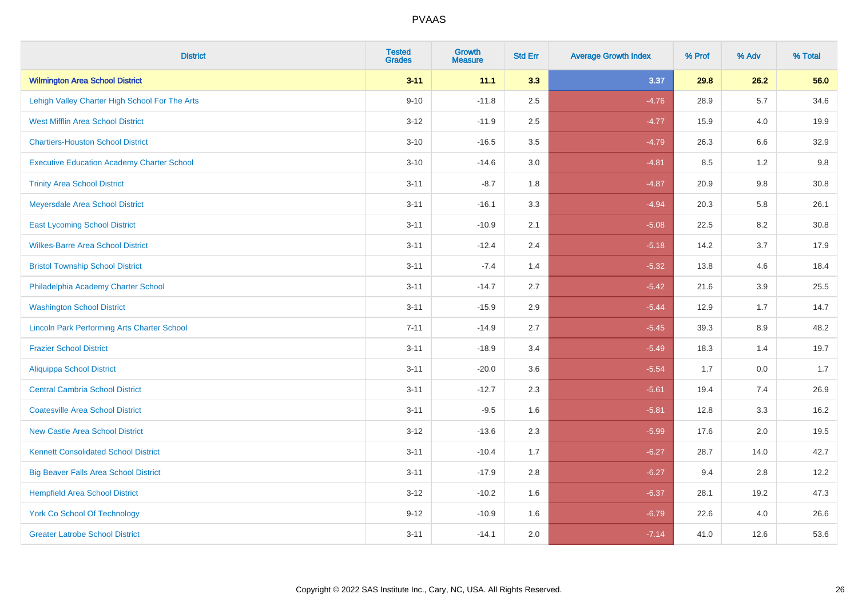| <b>District</b>                                    | <b>Tested</b><br><b>Grades</b> | <b>Growth</b><br><b>Measure</b> | <b>Std Err</b> | <b>Average Growth Index</b> | % Prof | % Adv   | % Total |
|----------------------------------------------------|--------------------------------|---------------------------------|----------------|-----------------------------|--------|---------|---------|
| <b>Wilmington Area School District</b>             | $3 - 11$                       | 11.1                            | 3.3            | 3.37                        | 29.8   | 26.2    | 56.0    |
| Lehigh Valley Charter High School For The Arts     | $9 - 10$                       | $-11.8$                         | 2.5            | $-4.76$                     | 28.9   | 5.7     | 34.6    |
| <b>West Mifflin Area School District</b>           | $3 - 12$                       | $-11.9$                         | 2.5            | $-4.77$                     | 15.9   | 4.0     | 19.9    |
| <b>Chartiers-Houston School District</b>           | $3 - 10$                       | $-16.5$                         | 3.5            | $-4.79$                     | 26.3   | 6.6     | 32.9    |
| <b>Executive Education Academy Charter School</b>  | $3 - 10$                       | $-14.6$                         | 3.0            | $-4.81$                     | 8.5    | 1.2     | 9.8     |
| <b>Trinity Area School District</b>                | $3 - 11$                       | $-8.7$                          | 1.8            | $-4.87$                     | 20.9   | 9.8     | 30.8    |
| Meyersdale Area School District                    | $3 - 11$                       | $-16.1$                         | 3.3            | $-4.94$                     | 20.3   | 5.8     | 26.1    |
| <b>East Lycoming School District</b>               | $3 - 11$                       | $-10.9$                         | 2.1            | $-5.08$                     | 22.5   | 8.2     | 30.8    |
| <b>Wilkes-Barre Area School District</b>           | $3 - 11$                       | $-12.4$                         | 2.4            | $-5.18$                     | 14.2   | 3.7     | 17.9    |
| <b>Bristol Township School District</b>            | $3 - 11$                       | $-7.4$                          | 1.4            | $-5.32$                     | 13.8   | 4.6     | 18.4    |
| Philadelphia Academy Charter School                | $3 - 11$                       | $-14.7$                         | 2.7            | $-5.42$                     | 21.6   | 3.9     | 25.5    |
| <b>Washington School District</b>                  | $3 - 11$                       | $-15.9$                         | 2.9            | $-5.44$                     | 12.9   | 1.7     | 14.7    |
| <b>Lincoln Park Performing Arts Charter School</b> | $7 - 11$                       | $-14.9$                         | 2.7            | $-5.45$                     | 39.3   | $8.9\,$ | 48.2    |
| <b>Frazier School District</b>                     | $3 - 11$                       | $-18.9$                         | 3.4            | $-5.49$                     | 18.3   | 1.4     | 19.7    |
| <b>Aliquippa School District</b>                   | $3 - 11$                       | $-20.0$                         | 3.6            | $-5.54$                     | 1.7    | 0.0     | 1.7     |
| <b>Central Cambria School District</b>             | $3 - 11$                       | $-12.7$                         | 2.3            | $-5.61$                     | 19.4   | 7.4     | 26.9    |
| <b>Coatesville Area School District</b>            | $3 - 11$                       | $-9.5$                          | 1.6            | $-5.81$                     | 12.8   | 3.3     | 16.2    |
| <b>New Castle Area School District</b>             | $3 - 12$                       | $-13.6$                         | 2.3            | $-5.99$                     | 17.6   | 2.0     | 19.5    |
| <b>Kennett Consolidated School District</b>        | $3 - 11$                       | $-10.4$                         | 1.7            | $-6.27$                     | 28.7   | 14.0    | 42.7    |
| <b>Big Beaver Falls Area School District</b>       | $3 - 11$                       | $-17.9$                         | 2.8            | $-6.27$                     | 9.4    | 2.8     | 12.2    |
| <b>Hempfield Area School District</b>              | $3 - 12$                       | $-10.2$                         | 1.6            | $-6.37$                     | 28.1   | 19.2    | 47.3    |
| <b>York Co School Of Technology</b>                | $9 - 12$                       | $-10.9$                         | 1.6            | $-6.79$                     | 22.6   | 4.0     | 26.6    |
| <b>Greater Latrobe School District</b>             | $3 - 11$                       | $-14.1$                         | 2.0            | $-7.14$                     | 41.0   | 12.6    | 53.6    |